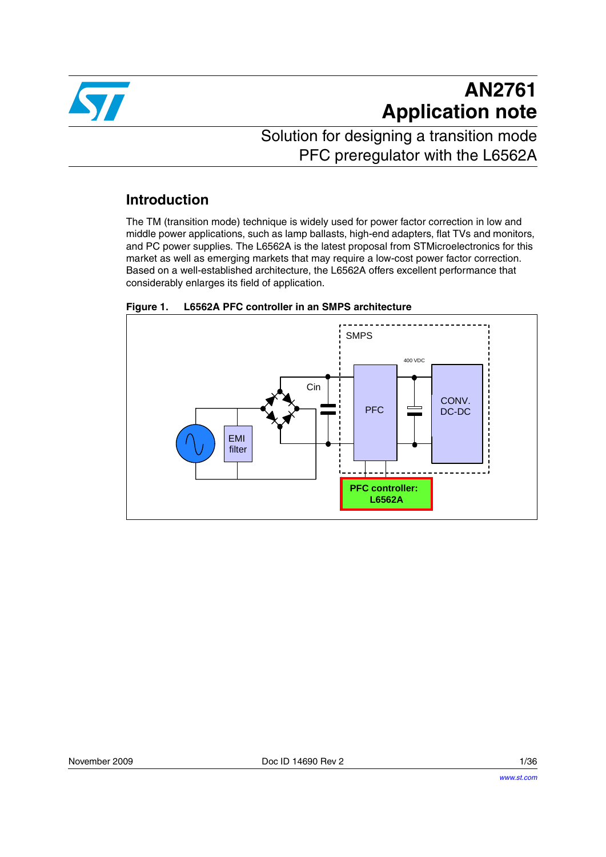

# **AN2761 Application note**

## Solution for designing a transition mode PFC preregulator with the L6562A

### **Introduction**

The TM (transition mode) technique is widely used for power factor correction in low and middle power applications, such as lamp ballasts, high-end adapters, flat TVs and monitors, and PC power supplies. The L6562A is the latest proposal from STMicroelectronics for this market as well as emerging markets that may require a low-cost power factor correction. Based on a well-established architecture, the L6562A offers excellent performance that considerably enlarges its field of application.



### <span id="page-0-0"></span>**Figure 1. L6562A PFC controller in an SMPS architecture**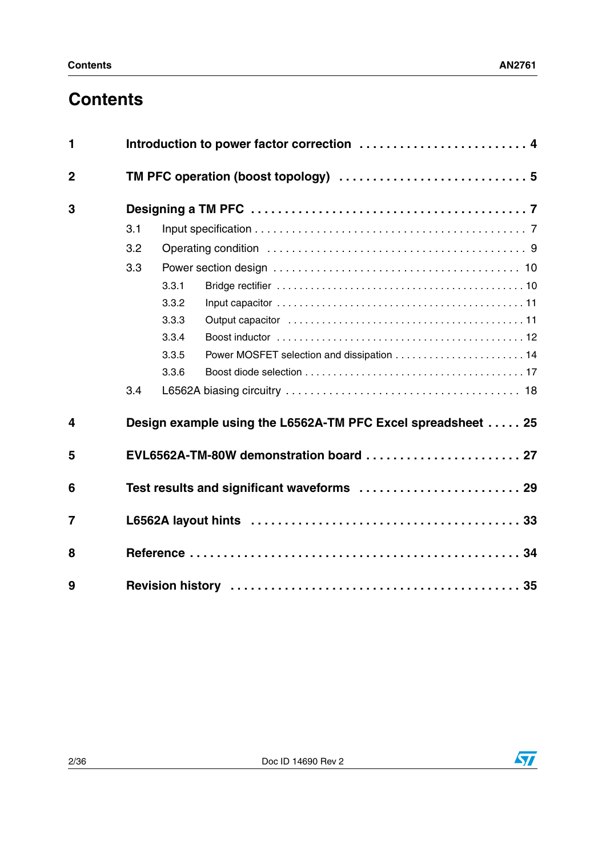## **Contents**

| 1                       |     |                                                              |                                            |  |  |  |
|-------------------------|-----|--------------------------------------------------------------|--------------------------------------------|--|--|--|
| $\overline{2}$          |     |                                                              |                                            |  |  |  |
| 3                       |     |                                                              |                                            |  |  |  |
|                         | 3.1 |                                                              |                                            |  |  |  |
|                         | 3.2 |                                                              |                                            |  |  |  |
|                         | 3.3 |                                                              |                                            |  |  |  |
|                         |     | 3.3.1                                                        |                                            |  |  |  |
|                         |     | 3.3.2                                                        |                                            |  |  |  |
|                         |     | 3.3.3                                                        |                                            |  |  |  |
|                         |     | 3.3.4                                                        |                                            |  |  |  |
|                         |     | 3.3.5                                                        | Power MOSFET selection and dissipation  14 |  |  |  |
|                         |     | 3.3.6                                                        |                                            |  |  |  |
|                         | 3.4 |                                                              |                                            |  |  |  |
| $\overline{\mathbf{4}}$ |     | Design example using the L6562A-TM PFC Excel spreadsheet  25 |                                            |  |  |  |
| 5                       |     | EVL6562A-TM-80W demonstration board  27                      |                                            |  |  |  |
| 6                       |     | Test results and significant waveforms  29                   |                                            |  |  |  |
| $\overline{7}$          |     |                                                              |                                            |  |  |  |
| 8                       |     |                                                              |                                            |  |  |  |
| 9                       |     |                                                              |                                            |  |  |  |

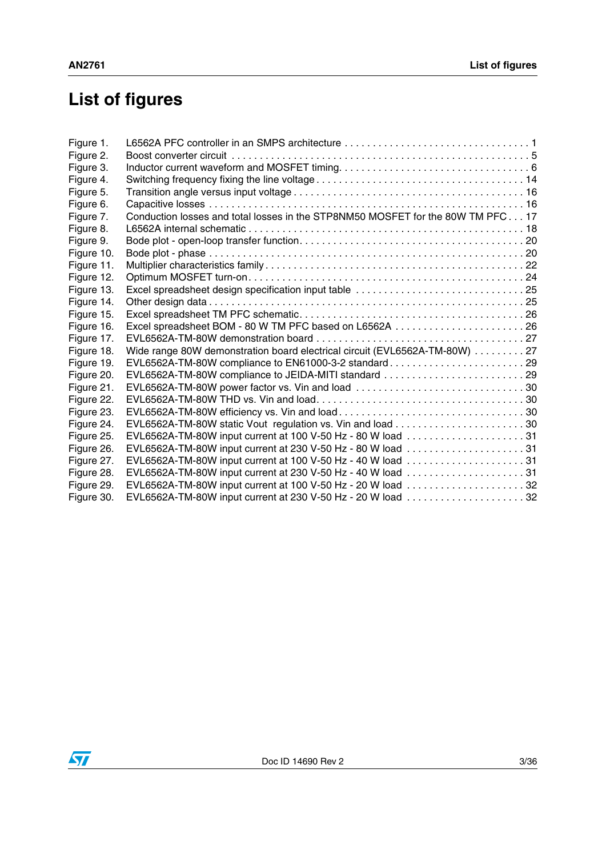# **List of figures**

| EVL6562A-TM-80W compliance to JEIDA-MITI standard 29        |                                                                                                                                                                                                                                                                                      |
|-------------------------------------------------------------|--------------------------------------------------------------------------------------------------------------------------------------------------------------------------------------------------------------------------------------------------------------------------------------|
| EVL6562A-TM-80W power factor vs. Vin and load 30            |                                                                                                                                                                                                                                                                                      |
|                                                             |                                                                                                                                                                                                                                                                                      |
|                                                             |                                                                                                                                                                                                                                                                                      |
|                                                             |                                                                                                                                                                                                                                                                                      |
| EVL6562A-TM-80W input current at 100 V-50 Hz - 80 W load 31 |                                                                                                                                                                                                                                                                                      |
| EVL6562A-TM-80W input current at 230 V-50 Hz - 80 W load 31 |                                                                                                                                                                                                                                                                                      |
|                                                             |                                                                                                                                                                                                                                                                                      |
| EVL6562A-TM-80W input current at 230 V-50 Hz - 40 W load 31 |                                                                                                                                                                                                                                                                                      |
| EVL6562A-TM-80W input current at 100 V-50 Hz - 20 W load 32 |                                                                                                                                                                                                                                                                                      |
| EVL6562A-TM-80W input current at 230 V-50 Hz - 20 W load 32 |                                                                                                                                                                                                                                                                                      |
|                                                             | Conduction losses and total losses in the STP8NM50 MOSFET for the 80W TM PFC 17<br>Wide range 80W demonstration board electrical circuit (EVL6562A-TM-80W) 27<br>EVL6562A-TM-80W compliance to EN61000-3-2 standard29<br>EVL6562A-TM-80W input current at 100 V-50 Hz - 40 W load 31 |

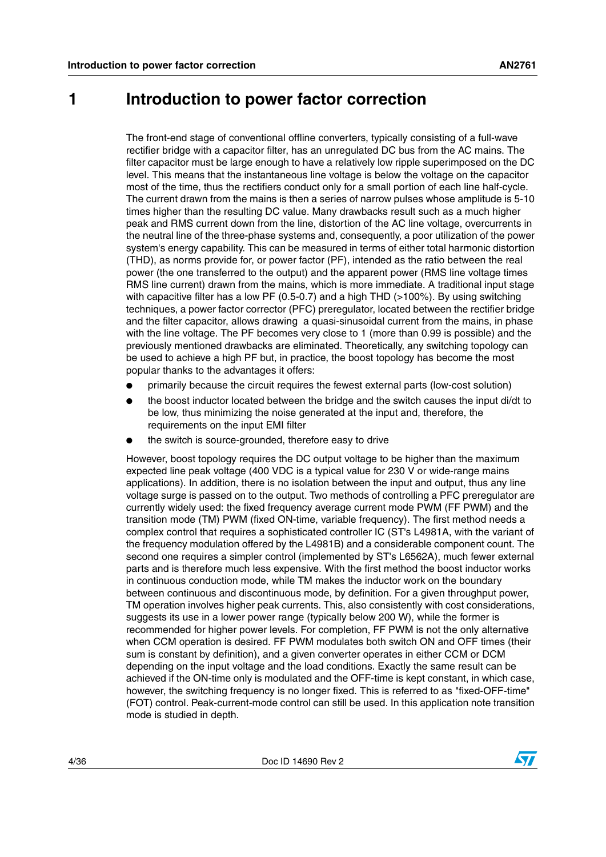### <span id="page-3-0"></span>**1 Introduction to power factor correction**

The front-end stage of conventional offline converters, typically consisting of a full-wave rectifier bridge with a capacitor filter, has an unregulated DC bus from the AC mains. The filter capacitor must be large enough to have a relatively low ripple superimposed on the DC level. This means that the instantaneous line voltage is below the voltage on the capacitor most of the time, thus the rectifiers conduct only for a small portion of each line half-cycle. The current drawn from the mains is then a series of narrow pulses whose amplitude is 5-10 times higher than the resulting DC value. Many drawbacks result such as a much higher peak and RMS current down from the line, distortion of the AC line voltage, overcurrents in the neutral line of the three-phase systems and, consequently, a poor utilization of the power system's energy capability. This can be measured in terms of either total harmonic distortion (THD), as norms provide for, or power factor (PF), intended as the ratio between the real power (the one transferred to the output) and the apparent power (RMS line voltage times RMS line current) drawn from the mains, which is more immediate. A traditional input stage with capacitive filter has a low PF (0.5-0.7) and a high THD (>100%). By using switching techniques, a power factor corrector (PFC) preregulator, located between the rectifier bridge and the filter capacitor, allows drawing a quasi-sinusoidal current from the mains, in phase with the line voltage. The PF becomes very close to 1 (more than 0.99 is possible) and the previously mentioned drawbacks are eliminated. Theoretically, any switching topology can be used to achieve a high PF but, in practice, the boost topology has become the most popular thanks to the advantages it offers:

- primarily because the circuit requires the fewest external parts (low-cost solution)
- the boost inductor located between the bridge and the switch causes the input di/dt to be low, thus minimizing the noise generated at the input and, therefore, the requirements on the input EMI filter
- the switch is source-grounded, therefore easy to drive

However, boost topology requires the DC output voltage to be higher than the maximum expected line peak voltage (400 VDC is a typical value for 230 V or wide-range mains applications). In addition, there is no isolation between the input and output, thus any line voltage surge is passed on to the output. Two methods of controlling a PFC preregulator are currently widely used: the fixed frequency average current mode PWM (FF PWM) and the transition mode (TM) PWM (fixed ON-time, variable frequency). The first method needs a complex control that requires a sophisticated controller IC (ST's L4981A, with the variant of the frequency modulation offered by the L4981B) and a considerable component count. The second one requires a simpler control (implemented by ST's L6562A), much fewer external parts and is therefore much less expensive. With the first method the boost inductor works in continuous conduction mode, while TM makes the inductor work on the boundary between continuous and discontinuous mode, by definition. For a given throughput power, TM operation involves higher peak currents. This, also consistently with cost considerations, suggests its use in a lower power range (typically below 200 W), while the former is recommended for higher power levels. For completion, FF PWM is not the only alternative when CCM operation is desired. FF PWM modulates both switch ON and OFF times (their sum is constant by definition), and a given converter operates in either CCM or DCM depending on the input voltage and the load conditions. Exactly the same result can be achieved if the ON-time only is modulated and the OFF-time is kept constant, in which case, however, the switching frequency is no longer fixed. This is referred to as "fixed-OFF-time" (FOT) control. Peak-current-mode control can still be used. In this application note transition mode is studied in depth.

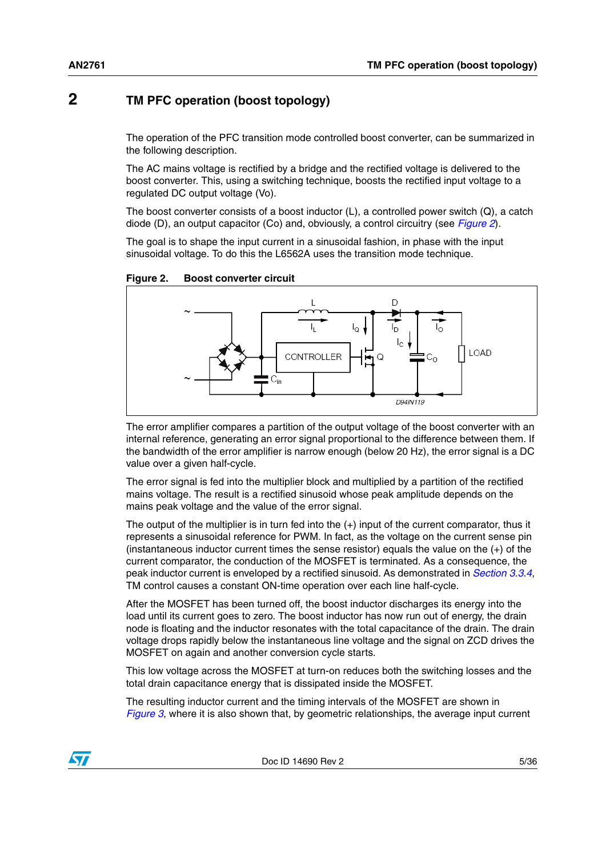### <span id="page-4-0"></span>**2 TM PFC operation (boost topology)**

The operation of the PFC transition mode controlled boost converter, can be summarized in the following description.

The AC mains voltage is rectified by a bridge and the rectified voltage is delivered to the boost converter. This, using a switching technique, boosts the rectified input voltage to a regulated DC output voltage (Vo).

The boost converter consists of a boost inductor (L), a controlled power switch (Q), a catch diode (D), an output capacitor (Co) and, obviously, a control circuitry (see *[Figure 2](#page-4-1)*).

The goal is to shape the input current in a sinusoidal fashion, in phase with the input sinusoidal voltage. To do this the L6562A uses the transition mode technique.



<span id="page-4-1"></span>**Figure 2. Boost converter circuit**

The error amplifier compares a partition of the output voltage of the boost converter with an internal reference, generating an error signal proportional to the difference between them. If the bandwidth of the error amplifier is narrow enough (below 20 Hz), the error signal is a DC value over a given half-cycle.

The error signal is fed into the multiplier block and multiplied by a partition of the rectified mains voltage. The result is a rectified sinusoid whose peak amplitude depends on the mains peak voltage and the value of the error signal.

The output of the multiplier is in turn fed into the  $(+)$  input of the current comparator, thus it represents a sinusoidal reference for PWM. In fact, as the voltage on the current sense pin (instantaneous inductor current times the sense resistor) equals the value on the (+) of the current comparator, the conduction of the MOSFET is terminated. As a consequence, the peak inductor current is enveloped by a rectified sinusoid. As demonstrated in *[Section 3.3.4](#page-11-0)*, TM control causes a constant ON-time operation over each line half-cycle.

After the MOSFET has been turned off, the boost inductor discharges its energy into the load until its current goes to zero. The boost inductor has now run out of energy, the drain node is floating and the inductor resonates with the total capacitance of the drain. The drain voltage drops rapidly below the instantaneous line voltage and the signal on ZCD drives the MOSFET on again and another conversion cycle starts.

This low voltage across the MOSFET at turn-on reduces both the switching losses and the total drain capacitance energy that is dissipated inside the MOSFET.

The resulting inductor current and the timing intervals of the MOSFET are shown in *[Figure 3](#page-5-0)*, where it is also shown that, by geometric relationships, the average input current

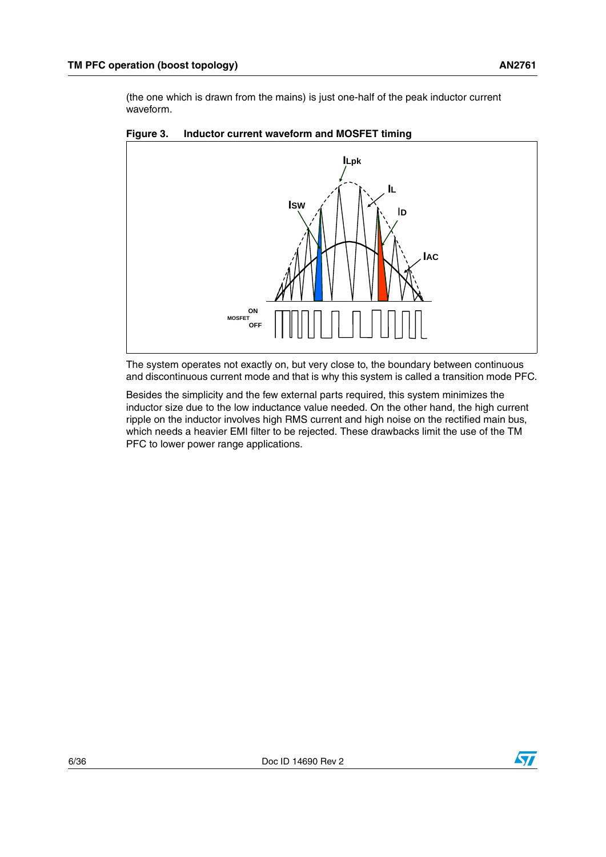(the one which is drawn from the mains) is just one-half of the peak inductor current waveform.



#### <span id="page-5-0"></span>**Figure 3. Inductor current waveform and MOSFET timing**

The system operates not exactly on, but very close to, the boundary between continuous and discontinuous current mode and that is why this system is called a transition mode PFC.

Besides the simplicity and the few external parts required, this system minimizes the inductor size due to the low inductance value needed. On the other hand, the high current ripple on the inductor involves high RMS current and high noise on the rectified main bus, which needs a heavier EMI filter to be rejected. These drawbacks limit the use of the TM PFC to lower power range applications.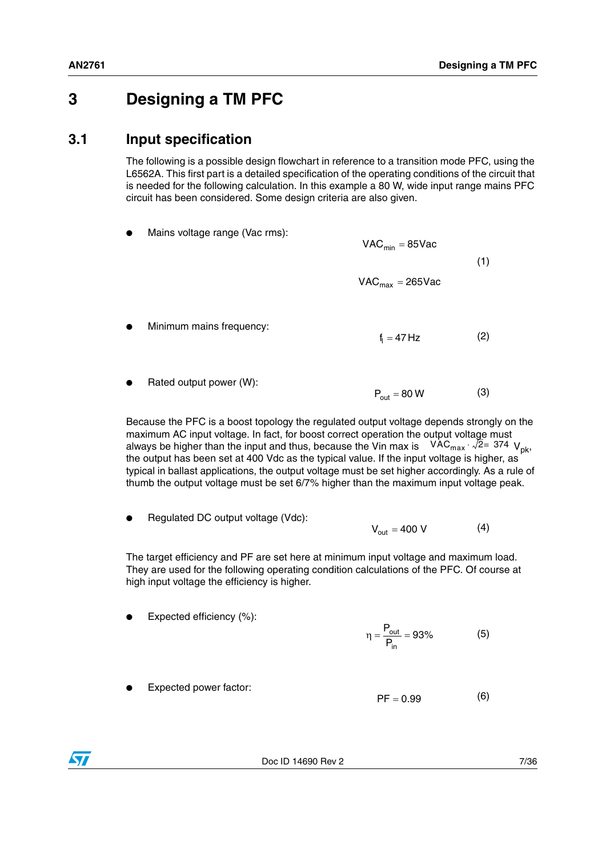### <span id="page-6-0"></span>**3 Designing a TM PFC**

### <span id="page-6-1"></span>**3.1 Input specification**

The following is a possible design flowchart in reference to a transition mode PFC, using the L6562A. This first part is a detailed specification of the operating conditions of the circuit that is needed for the following calculation. In this example a 80 W, wide input range mains PFC circuit has been considered. Some design criteria are also given.

Mains voltage range (Vac rms):

(1)  $VAC<sub>min</sub> = 85$ Vac  $VAC<sub>max</sub> = 265$ Vac

- Minimum mains frequency: (2)  $\mathsf{f}_\parallel = 47\,\mathsf{Hz}$
- Rated output power (W): (3)  $P_{\text{out}} = 80 \text{ W}$

Because the PFC is a boost topology the regulated output voltage depends strongly on the maximum AC input voltage. In fact, for boost correct operation the output voltage must always be higher than the input and thus, because the Vin max is  $-$  VAC $_{\sf max}$   $\cdot$   $\sqrt{2}$ = 374  $\,{\sf V}_{\sf pk}$ , the output has been set at 400 Vdc as the typical value. If the input voltage is higher, as typical in ballast applications, the output voltage must be set higher accordingly. As a rule of thumb the output voltage must be set 6/7% higher than the maximum input voltage peak.

Regulated DC output voltage (Vdc): (4)  $V_{\text{out}} = 400 \text{ V}$ 

The target efficiency and PF are set here at minimum input voltage and maximum load. They are used for the following operating condition calculations of the PFC. Of course at high input voltage the efficiency is higher.

Expected efficiency  $(\%)$ :

$$
\eta = \frac{P_{out}}{P_{in}} = 93\% \tag{5}
$$

Expected power factor:



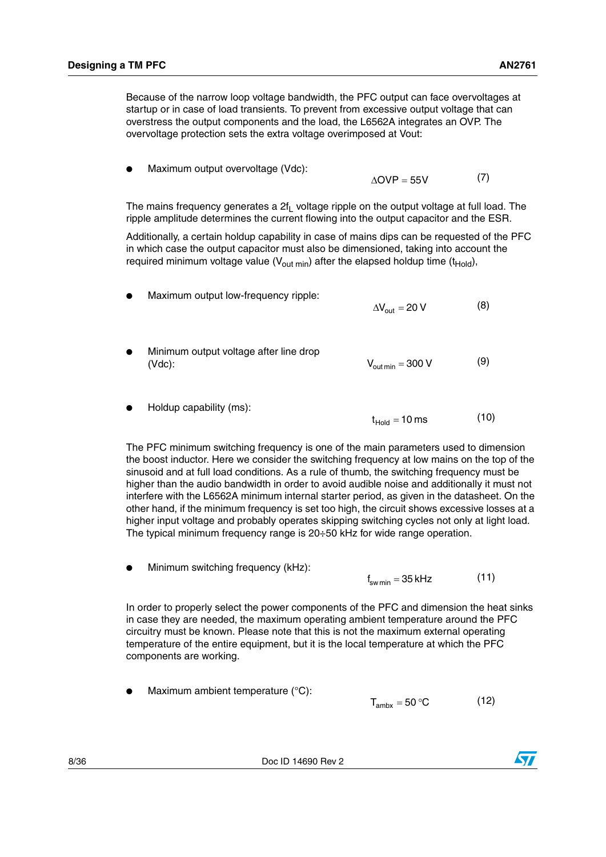Because of the narrow loop voltage bandwidth, the PFC output can face overvoltages at startup or in case of load transients. To prevent from excessive output voltage that can overstress the output components and the load, the L6562A integrates an OVP. The overvoltage protection sets the extra voltage overimposed at Vout:

Maximum output overvoltage (Vdc):

(7)  $\triangle$ OVP = 55V

The mains frequency generates a  $2f<sub>L</sub>$  voltage ripple on the output voltage at full load. The ripple amplitude determines the current flowing into the output capacitor and the ESR.

Additionally, a certain holdup capability in case of mains dips can be requested of the PFC in which case the output capacitor must also be dimensioned, taking into account the required minimum voltage value ( $V_{\text{out min}}$ ) after the elapsed holdup time (t<sub>Hold</sub>),

- Maximum output low-frequency ripple: (8) Minimum output voltage after line drop  $\Delta V_{\text{out}} = 20 V$
- (Vdc): (9)  $V_{\text{out min}} = 300 \text{ V}$
- Holdup capability (ms): (10)  $t_{\text{Hold}} = 10 \text{ ms}$

The PFC minimum switching frequency is one of the main parameters used to dimension the boost inductor. Here we consider the switching frequency at low mains on the top of the sinusoid and at full load conditions. As a rule of thumb, the switching frequency must be higher than the audio bandwidth in order to avoid audible noise and additionally it must not interfere with the L6562A minimum internal starter period, as given in the datasheet. On the other hand, if the minimum frequency is set too high, the circuit shows excessive losses at a higher input voltage and probably operates skipping switching cycles not only at light load. The typical minimum frequency range is 20÷50 kHz for wide range operation.

Minimum switching frequency (kHz):

<span id="page-7-0"></span>(11) f<sub>sw min</sub> = 35 kHz

In order to properly select the power components of the PFC and dimension the heat sinks in case they are needed, the maximum operating ambient temperature around the PFC circuitry must be known. Please note that this is not the maximum external operating temperature of the entire equipment, but it is the local temperature at which the PFC components are working.

Maximum ambient temperature  $(^{\circ}C)$ : (12)  $T_{\text{ambx}} = 50 \text{ °C}$ 

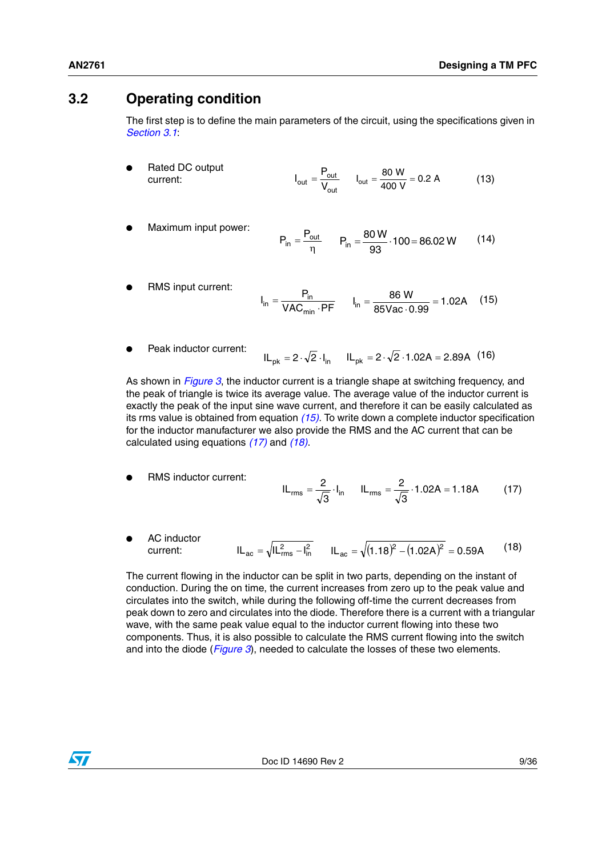### <span id="page-8-0"></span>**3.2 Operating condition**

The first step is to define the main parameters of the circuit, using the specifications given in *[Section 3.1](#page-6-1)*:

- **Rated DC output** current: (13) out  $I_{\text{out}} = \frac{P_{\text{out}}}{V_{\text{out}}}$   $I_{\text{out}} = \frac{80 \text{ W}}{400 \text{ V}} = 0.2 \text{ A}$
- Maximum input power:

$$
P_{in} = \frac{P_{out}}{\eta} \qquad P_{in} = \frac{80 \text{ W}}{93} \cdot 100 = 86.02 \text{ W} \tag{14}
$$

- RMS input current: (15)  $I_{in} = \frac{P_{in}}{VAC_{min} \cdot PF}$ min  $I_{\text{in}} = \frac{P_{\text{in}}}{\text{VAC}_{\text{min}} \cdot \text{PF}}$   $I_{\text{in}} = \frac{86 \text{ W}}{85 \text{Vac} \cdot 0.99} = 1.02 \text{A}$
- Peak inductor current:  $IL_{pk} = 2 \cdot \sqrt{2} \cdot I_{in}$   $IL_{pk} = 2 \cdot \sqrt{2} \cdot 1.02A = 2.89A$  (16)

As shown in *[Figure 3](#page-5-0)*, the inductor current is a triangle shape at switching frequency, and the peak of triangle is twice its average value. The average value of the inductor current is exactly the peak of the input sine wave current, and therefore it can be easily calculated as its rms value is obtained from equation *(15)*. To write down a complete inductor specification for the inductor manufacturer we also provide the RMS and the AC current that can be calculated using equations *(17)* and *(18)*.

- **RMS** inductor current: (17)  $rms = \frac{2}{\sqrt{3}} \cdot I_{in}$  $IL_{rms} = \frac{2}{\sqrt{2}} \cdot I_{in}$   $IL_{rms} = \frac{2}{\sqrt{2}} \cdot 1.02A = 1.18A$  $IL_{rms} = \frac{2}{\sqrt{3}} \cdot 1.02A =$
- **AC** inductor current: (18)  $IL_{\text{ac}} = \sqrt{IL_{\text{rms}}^2 - I_{\text{in}}^2}$   $IL_{\text{ac}} = \sqrt{(1.18)^2 - (1.02A)^2} = 0.59A$

The current flowing in the inductor can be split in two parts, depending on the instant of conduction. During the on time, the current increases from zero up to the peak value and circulates into the switch, while during the following off-time the current decreases from peak down to zero and circulates into the diode. Therefore there is a current with a triangular wave, with the same peak value equal to the inductor current flowing into these two components. Thus, it is also possible to calculate the RMS current flowing into the switch and into the diode (*[Figure 3](#page-5-0)*), needed to calculate the losses of these two elements.

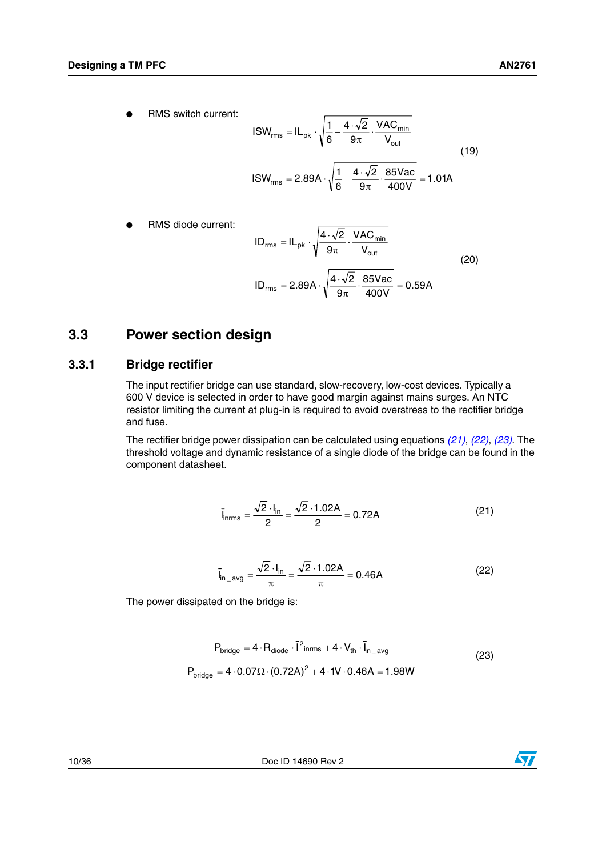$$
ISW_{rms} = IL_{pk} \cdot \sqrt{\frac{1}{6} - \frac{4 \cdot \sqrt{2}}{9\pi} \cdot \frac{VAC_{min}}{V_{out}}}
$$
  

$$
ISW_{rms} = 2.89A \cdot \sqrt{\frac{1}{6} - \frac{4 \cdot \sqrt{2}}{9\pi} \cdot \frac{85Vac}{400V}} = 1.01A
$$
 (19)

RMS diode current:

$$
ID_{rms} = IL_{pk} \cdot \sqrt{\frac{4 \cdot \sqrt{2}}{9\pi} \cdot \frac{VAC_{min}}{V_{out}}}
$$
  

$$
ID_{rms} = 2.89A \cdot \sqrt{\frac{4 \cdot \sqrt{2}}{9\pi} \cdot \frac{85Vac}{400V}} = 0.59A
$$
 (20)

### <span id="page-9-0"></span>**3.3 Power section design**

### <span id="page-9-1"></span>**3.3.1 Bridge rectifier**

The input rectifier bridge can use standard, slow-recovery, low-cost devices. Typically a 600 V device is selected in order to have good margin against mains surges. An NTC resistor limiting the current at plug-in is required to avoid overstress to the rectifier bridge and fuse.

The rectifier bridge power dissipation can be calculated using equations *(21)*, *(22)*, *(23)*. The threshold voltage and dynamic resistance of a single diode of the bridge can be found in the component datasheet.

$$
\bar{l}_{n\text{rms}} = \frac{\sqrt{2} \cdot l_{\text{in}}}{2} = \frac{\sqrt{2} \cdot 1.02 \text{A}}{2} = 0.72 \text{A}
$$
 (21)

$$
\bar{l}_{n\_\text{avg}} = \frac{\sqrt{2} \cdot l_{\text{in}}}{\pi} = \frac{\sqrt{2} \cdot 1.02 \text{A}}{\pi} = 0.46 \text{A}
$$
 (22)

The power dissipated on the bridge is:

$$
P_{bridge} = 4 \cdot R_{diode} \cdot \overline{I}^2_{inrms} + 4 \cdot V_{th} \cdot \overline{I}_{n\_avg}
$$
  
\n
$$
P_{bridge} = 4 \cdot 0.07 \Omega \cdot (0.72A)^2 + 4 \cdot 1V \cdot 0.46A = 1.98W
$$
 (23)

10/36 Doc ID 14690 Rev 2

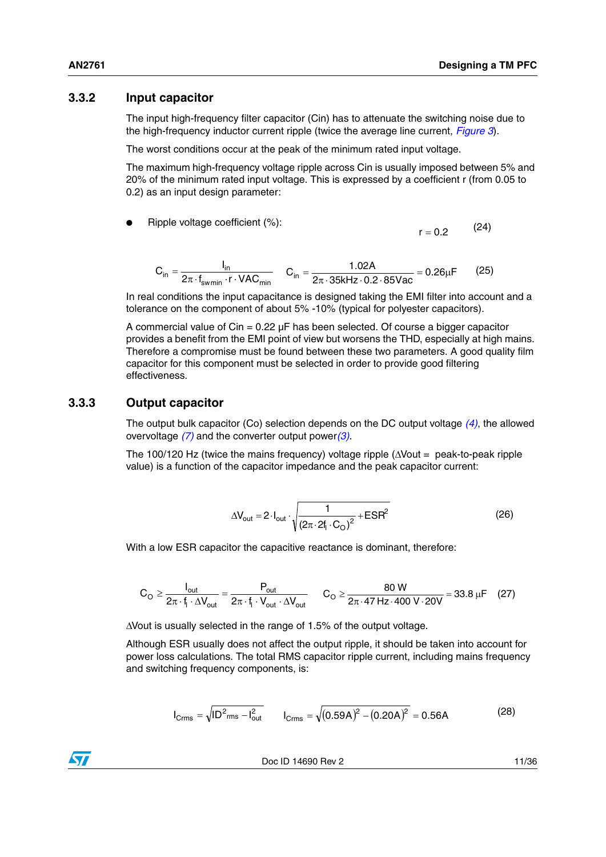(24)

 $r = 0.2$ 

### <span id="page-10-0"></span>**3.3.2 Input capacitor**

The input high-frequency filter capacitor (Cin) has to attenuate the switching noise due to the high-frequency inductor current ripple (twice the average line current, *[Figure 3](#page-5-0)*).

The worst conditions occur at the peak of the minimum rated input voltage.

The maximum high-frequency voltage ripple across Cin is usually imposed between 5% and 20% of the minimum rated input voltage. This is expressed by a coefficient r (from 0.05 to 0.2) as an input design parameter:

Ripple voltage coefficient  $(\%)$ :

$$
C_{in} = \frac{I_{in}}{2\pi \cdot f_{\text{swmin}} \cdot r \cdot \text{VAC}_{min}} \qquad C_{in} = \frac{1.02A}{2\pi \cdot 35kHz \cdot 0.2 \cdot 85Vac} = 0.26\mu F \tag{25}
$$

In real conditions the input capacitance is designed taking the EMI filter into account and a tolerance on the component of about 5% -10% (typical for polyester capacitors).

A commercial value of  $C$ in = 0.22  $\mu$ F has been selected. Of course a bigger capacitor provides a benefit from the EMI point of view but worsens the THD, especially at high mains. Therefore a compromise must be found between these two parameters. A good quality film capacitor for this component must be selected in order to provide good filtering effectiveness.

### <span id="page-10-1"></span>**3.3.3 Output capacitor**

The output bulk capacitor (Co) selection depends on the DC output voltage *(4)*, the allowed overvoltage *(7)* and the converter output power*(3)*.

The 100/120 Hz (twice the mains frequency) voltage ripple (ΔVout = peak-to-peak ripple value) is a function of the capacitor impedance and the peak capacitor current:

<span id="page-10-2"></span>
$$
\Delta V_{\text{out}} = 2 \cdot I_{\text{out}} \cdot \sqrt{\frac{1}{\left(2\pi \cdot 2f_1 \cdot C_{\text{O}}\right)^2} + E S R^2}
$$
 (26)

With a low ESR capacitor the capacitive reactance is dominant, therefore:

$$
C_{\mathrm{O}} \geq \frac{I_{\mathrm{out}}}{2\pi \cdot f_{\mathrm{I}} \cdot \Delta V_{\mathrm{out}}} = \frac{P_{\mathrm{out}}}{2\pi \cdot f_{\mathrm{I}} \cdot V_{\mathrm{out}} \cdot \Delta V_{\mathrm{out}}} \qquad C_{\mathrm{O}} \geq \frac{80 \text{ W}}{2\pi \cdot 47 \text{ Hz} \cdot 400 \text{ V} \cdot 20 \text{ V}} = 33.8 \text{ }\mu\text{F} \tag{27}
$$

ΔVout is usually selected in the range of 1.5% of the output voltage.

Although ESR usually does not affect the output ripple, it should be taken into account for power loss calculations. The total RMS capacitor ripple current, including mains frequency and switching frequency components, is:

$$
I_{\text{Crms}} = \sqrt{ID_{\text{rms}}^2 - I_{\text{out}}^2} \qquad I_{\text{Crms}} = \sqrt{(0.59A)^2 - (0.20A)^2} = 0.56A \tag{28}
$$

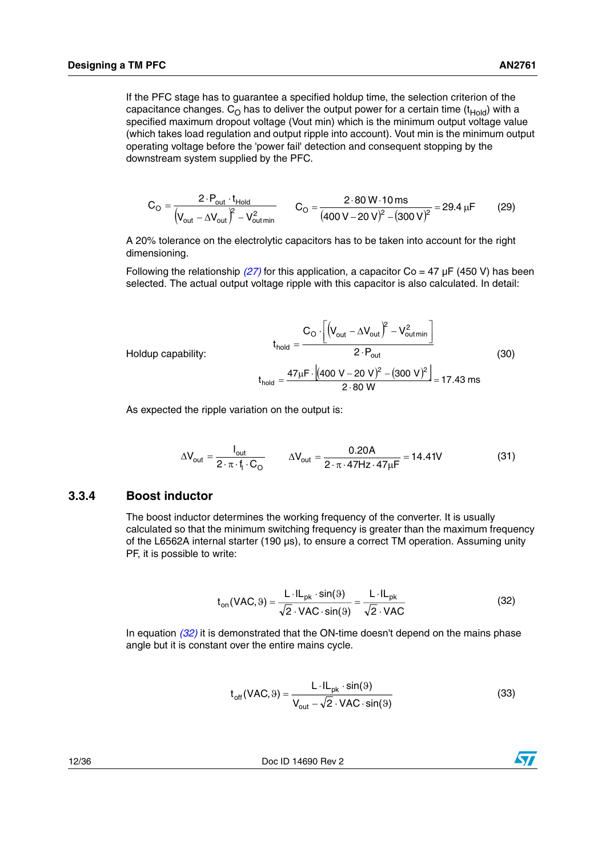If the PFC stage has to guarantee a specified holdup time, the selection criterion of the capacitance changes.  $C_{\Omega}$  has to deliver the output power for a certain time (t<sub>Hold</sub>) with a specified maximum dropout voltage (Vout min) which is the minimum output voltage value (which takes load regulation and output ripple into account). Vout min is the minimum output operating voltage before the 'power fail' detection and consequent stopping by the downstream system supplied by the PFC.

$$
C_{\text{O}} = \frac{2 \cdot P_{\text{out}} \cdot t_{\text{Hold}}}{\left(V_{\text{out}} - \Delta V_{\text{out}}\right)^2 - V_{\text{out}}^2}
$$
 
$$
C_{\text{O}} = \frac{2 \cdot 80 \text{ W} \cdot 10 \text{ ms}}{(400 \text{ V} - 20 \text{ V})^2 - (300 \text{ V})^2} = 29.4 \text{ }\mu\text{F}
$$
 (29)

A 20% tolerance on the electrolytic capacitors has to be taken into account for the right dimensioning.

Following the relationship *(27)* for this application, a capacitor Co = 47 µF (450 V) has been selected. The actual output voltage ripple with this capacitor is also calculated. In detail:

<span id="page-11-2"></span><span id="page-11-1"></span>
$$
t_{\text{hold}} = \frac{C_{\text{O}} \cdot \left[ \left( V_{\text{out}} - \Delta V_{\text{out}} \right)^{2} - V_{\text{out}}^{2} \right]}{2 \cdot P_{\text{out}}}
$$
\n
$$
t_{\text{hold}} = \frac{47 \mu F \cdot \left[ (400 \text{ V} - 20 \text{ V})^{2} - (300 \text{ V})^{2} \right]}{2 \cdot 80 \text{ W}} = 17.43 \text{ ms}
$$
\n(30)

As expected the ripple variation on the output is:

$$
\Delta V_{\text{out}} = \frac{I_{\text{out}}}{2 \cdot \pi \cdot f_1 \cdot C_{\text{O}}} \qquad \Delta V_{\text{out}} = \frac{0.20 \text{A}}{2 \cdot \pi \cdot 47 \text{Hz} \cdot 47 \mu \text{F}} = 14.41 \text{V} \tag{31}
$$

#### <span id="page-11-0"></span>**3.3.4 Boost inductor**

Holdup capability:

The boost inductor determines the working frequency of the converter. It is usually calculated so that the minimum switching frequency is greater than the maximum frequency of the L6562A internal starter (190 µs), to ensure a correct TM operation. Assuming unity PF, it is possible to write:

$$
t_{on}(VAC, 9) = \frac{L \cdot IL_{pk} \cdot \sin(9)}{\sqrt{2} \cdot VAC \cdot \sin(9)} = \frac{L \cdot IL_{pk}}{\sqrt{2} \cdot VAC}
$$
(32)

In equation *(32)* it is demonstrated that the ON-time doesn't depend on the mains phase angle but it is constant over the entire mains cycle.

$$
t_{off}(VAC, 9) = \frac{L \cdot IL_{pk} \cdot sin(9)}{V_{out} - \sqrt{2} \cdot VAC \cdot sin(9)}
$$
(33)

12/36 Doc ID 14690 Rev 2

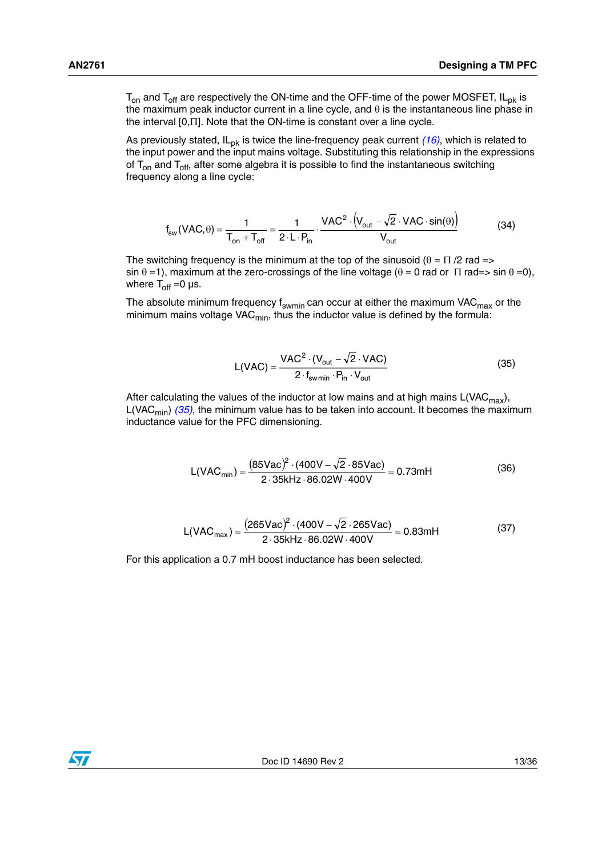$T_{on}$  and  $T_{off}$  are respectively the ON-time and the OFF-time of the power MOSFET, IL<sub>pk</sub> is the maximum peak inductor current in a line cycle, and  $\theta$  is the instantaneous line phase in the interval [0,Π]. Note that the ON-time is constant over a line cycle.

As previously stated, IL<sub>pk</sub> is twice the line-frequency peak current (16), which is related to the input power and the input mains voltage. Substituting this relationship in the expressions of  $T_{on}$  and  $T_{off}$ , after some algebra it is possible to find the instantaneous switching frequency along a line cycle:

$$
f_{sw}(\text{VAC}, \theta) = \frac{1}{T_{on} + T_{off}} = \frac{1}{2 \cdot L \cdot P_{in}} \cdot \frac{\text{VAC}^2 \cdot (V_{out} - \sqrt{2} \cdot \text{VAC} \cdot \sin(\theta))}{V_{out}}
$$
(34)

The switching frequency is the minimum at the top of the sinusoid ( $\theta = \Pi/2$  rad => sin  $\theta$  =1), maximum at the zero-crossings of the line voltage ( $\theta$  = 0 rad or  $\Pi$  rad=> sin  $\theta$  =0), where  $T_{off} = 0 \,\mu s$ .

The absolute minimum frequency f<sub>swmin</sub> can occur at either the maximum VAC<sub>max</sub> or the minimum mains voltage VAC $_{\sf min}$ , thus the inductor value is defined by the formula:

$$
L(VAC) = \frac{VAC^2 \cdot (V_{out} - \sqrt{2} \cdot VAC)}{2 \cdot f_{swmin} \cdot P_{in} \cdot V_{out}}
$$
(35)

After calculating the values of the inductor at low mains and at high mains  $L(VAC_{max})$ , L(VAC<sub>min</sub>)  $(35)$ , the minimum value has to be taken into account. It becomes the maximum inductance value for the PFC dimensioning.

$$
L(VAC_{min}) = \frac{(85Vac)^{2} \cdot (400V - \sqrt{2} \cdot 85Vac)}{2 \cdot 35kHz \cdot 86.02W \cdot 400V} = 0.73mH
$$
 (36)

$$
L(VAC_{max}) = \frac{(265Vac)^{2} \cdot (400V - \sqrt{2} \cdot 265Vac)}{2 \cdot 35kHz \cdot 86.02W \cdot 400V} = 0.83mH
$$
 (37)

For this application a 0.7 mH boost inductance has been selected.

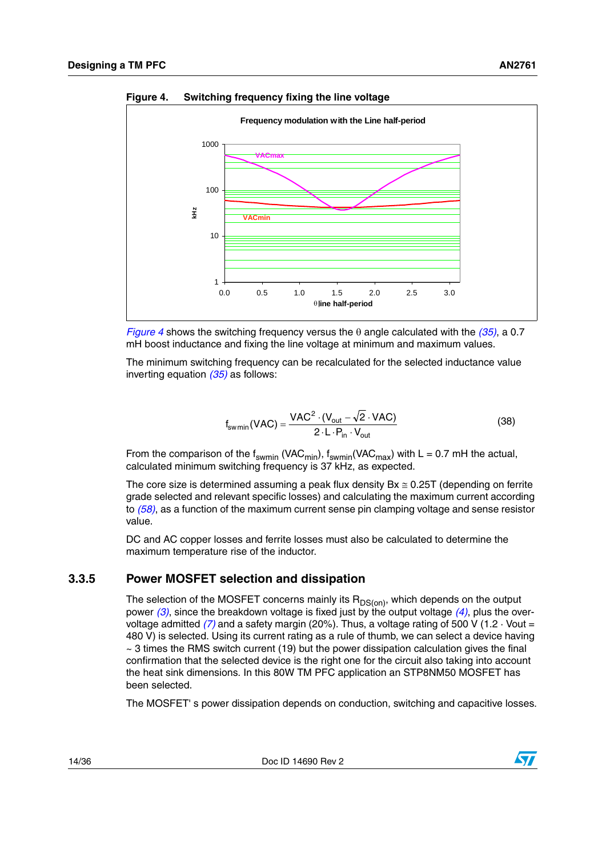

<span id="page-13-1"></span>**Figure 4. Switching frequency fixing the line voltage**

*[Figure 4](#page-13-1)* shows the switching frequency versus the  $\theta$  angle calculated with the  $(35)$ , a 0.7 mH boost inductance and fixing the line voltage at minimum and maximum values.

The minimum switching frequency can be recalculated for the selected inductance value inverting equation *(35)* as follows:

$$
f_{\text{swmin}}(\text{VAC}) = \frac{\text{VAC}^2 \cdot (V_{\text{out}} - \sqrt{2} \cdot \text{VAC})}{2 \cdot L \cdot P_{\text{in}} \cdot V_{\text{out}}}
$$
(38)

From the comparison of the f<sub>swmin</sub> (VAC<sub>min</sub>),  $f_{swmin}(VAC_{max})$  with L = 0.7 mH the actual, calculated minimum switching frequency is 37 kHz, as expected.

The core size is determined assuming a peak flux density  $Bx \approx 0.25T$  (depending on ferrite grade selected and relevant specific losses) and calculating the maximum current according to *(58)*, as a function of the maximum current sense pin clamping voltage and sense resistor value.

DC and AC copper losses and ferrite losses must also be calculated to determine the maximum temperature rise of the inductor.

### <span id="page-13-0"></span>**3.3.5 Power MOSFET selection and dissipation**

The selection of the MOSFET concerns mainly its  $R_{DS(on)}$ , which depends on the output power *(3)*, since the breakdown voltage is fixed just by the output voltage *(4)*, plus the overvoltage admitted *(7)* and a safety margin (20%). Thus, a voltage rating of 500 V (1.2 · Vout = 480 V) is selected. Using its current rating as a rule of thumb, we can select a device having  $\sim$  3 times the RMS switch current (19) but the power dissipation calculation gives the final confirmation that the selected device is the right one for the circuit also taking into account the heat sink dimensions. In this 80W TM PFC application an STP8NM50 MOSFET has been selected.

The MOSFET' s power dissipation depends on conduction, switching and capacitive losses.

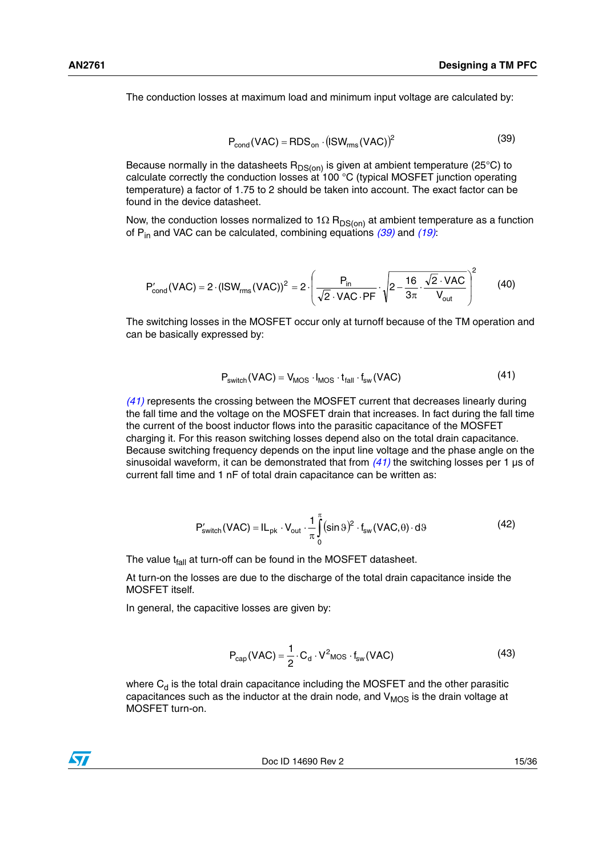The conduction losses at maximum load and minimum input voltage are calculated by:

$$
P_{\text{cond}}(\text{VAC}) = \text{RDS}_{\text{on}} \cdot (\text{ISW}_{\text{rms}}(\text{VAC}))^2 \tag{39}
$$

Because normally in the datasheets  $R_{DS(on)}$  is given at ambient temperature (25°C) to calculate correctly the conduction losses at 100 °C (typical MOSFET junction operating temperature) a factor of 1.75 to 2 should be taken into account. The exact factor can be found in the device datasheet.

Now, the conduction losses normalized to 1 $\Omega$  R<sub>DS(on)</sub> at ambient temperature as a function of Pin and VAC can be calculated, combining equations *(39)* and *(19)*:

$$
P'_{\text{cond}}(\text{VAC}) = 2 \cdot (\text{ISW}_{\text{rms}}(\text{VAC}))^2 = 2 \cdot \left(\frac{P_{\text{in}}}{\sqrt{2} \cdot \text{VAC} \cdot \text{PF}} \cdot \sqrt{2 - \frac{16}{3\pi} \cdot \frac{\sqrt{2} \cdot \text{VAC}}{V_{\text{out}}}}\right)^2 \tag{40}
$$

The switching losses in the MOSFET occur only at turnoff because of the TM operation and can be basically expressed by:

$$
P_{switch}(VAC) = V_{MOS} \cdot I_{MOS} \cdot t_{fall} \cdot f_{sw}(VAC)
$$
 (41)

*(41)* represents the crossing between the MOSFET current that decreases linearly during the fall time and the voltage on the MOSFET drain that increases. In fact during the fall time the current of the boost inductor flows into the parasitic capacitance of the MOSFET charging it. For this reason switching losses depend also on the total drain capacitance. Because switching frequency depends on the input line voltage and the phase angle on the sinusoidal waveform, it can be demonstrated that from *(41)* the switching losses per 1 µs of current fall time and 1 nF of total drain capacitance can be written as:

$$
P'_{switch}(VAC) = IL_{pk} \cdot V_{out} \cdot \frac{1}{\pi} \int_{0}^{\pi} (\sin \theta)^2 \cdot f_{sw}(VAC, \theta) \cdot d\theta
$$
 (42)

The value  $t_{fall}$  at turn-off can be found in the MOSFET datasheet.

At turn-on the losses are due to the discharge of the total drain capacitance inside the MOSFET itself.

In general, the capacitive losses are given by:

$$
P_{cap}(VAC) = \frac{1}{2} \cdot C_d \cdot V^2_{MOS} \cdot f_{sw}(VAC)
$$
 (43)

where  $C_d$  is the total drain capacitance including the MOSFET and the other parasitic capacitances such as the inductor at the drain node, and  $V_{MOS}$  is the drain voltage at MOSFET turn-on.



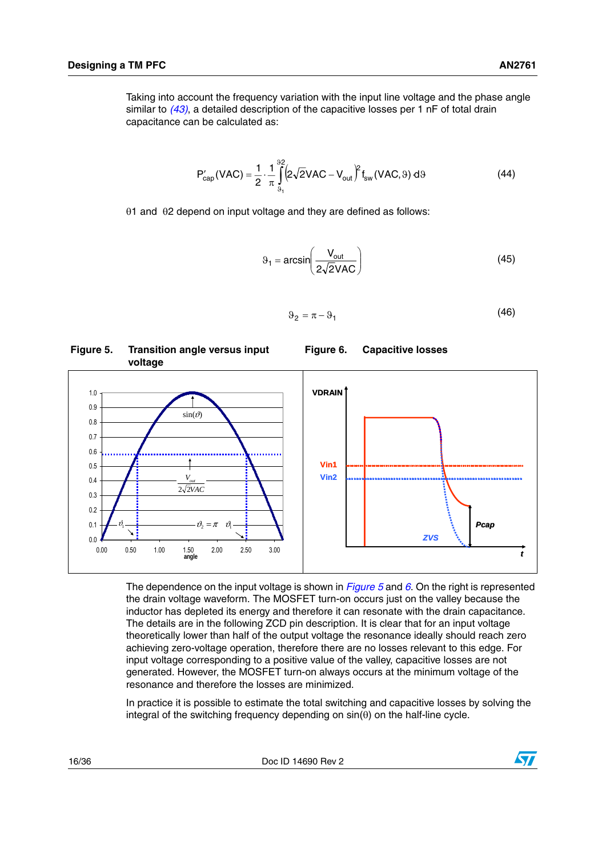Taking into account the frequency variation with the input line voltage and the phase angle similar to *(43)*, a detailed description of the capacitive losses per 1 nF of total drain capacitance can be calculated as:

$$
P'_{cap}(VAC) = \frac{1}{2} \cdot \frac{1}{\pi} \int_{\vartheta_1}^{\vartheta_2} \left(2\sqrt{2}VAC - V_{out}\right)^2 f_{sw}(VAC, \vartheta) d\vartheta
$$
 (44)

θ1 and θ2 depend on input voltage and they are defined as follows:

$$
\vartheta_1 = \arcsin\left(\frac{V_{\text{out}}}{2\sqrt{2}VAC}\right) \tag{45}
$$

<span id="page-15-1"></span>**Figure 6. Capacitive losses**

$$
\Theta_2 = \pi - \Theta_1 \tag{46}
$$

#### <span id="page-15-0"></span>**Figure 5. Transition angle versus input voltage**



The dependence on the input voltage is shown in *[Figure 5](#page-15-0)* and *[6](#page-15-1)*. On the right is represented the drain voltage waveform. The MOSFET turn-on occurs just on the valley because the inductor has depleted its energy and therefore it can resonate with the drain capacitance. The details are in the following ZCD pin description. It is clear that for an input voltage theoretically lower than half of the output voltage the resonance ideally should reach zero achieving zero-voltage operation, therefore there are no losses relevant to this edge. For input voltage corresponding to a positive value of the valley, capacitive losses are not generated. However, the MOSFET turn-on always occurs at the minimum voltage of the resonance and therefore the losses are minimized.

In practice it is possible to estimate the total switching and capacitive losses by solving the integral of the switching frequency depending on  $sin(\theta)$  on the half-line cycle.

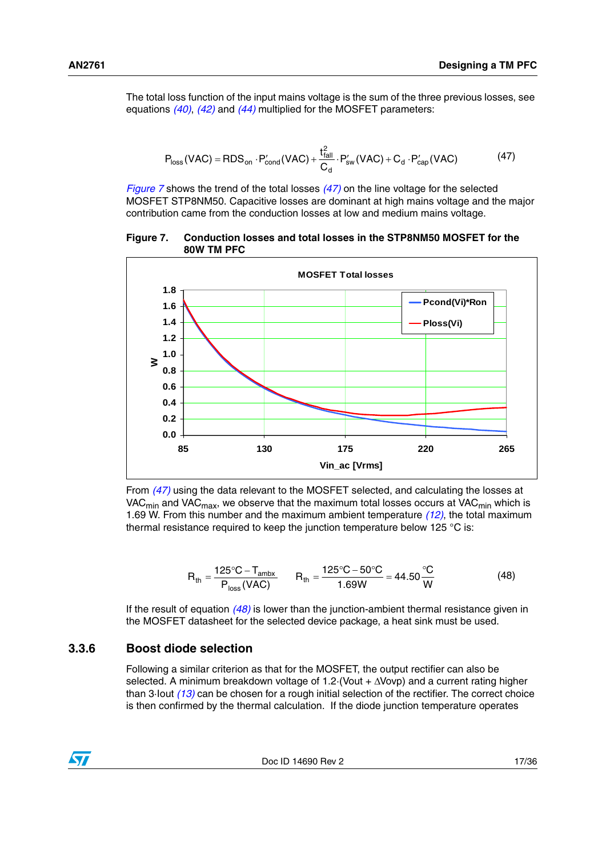The total loss function of the input mains voltage is the sum of the three previous losses, see equations *(40)*, *(42)* and *(44)* multiplied for the MOSFET parameters:

$$
P_{\text{loss}}(\text{VAC}) = \text{RDS}_{\text{on}} \cdot P_{\text{cond}}'(\text{VAC}) + \frac{t_{\text{fall}}^2}{C_d} \cdot P_{\text{sw}}'(\text{VAC}) + C_d \cdot P_{\text{cap}}'(\text{VAC}) \tag{47}
$$

*[Figure 7](#page-16-1)* shows the trend of the total losses *(47)* on the line voltage for the selected MOSFET STP8NM50. Capacitive losses are dominant at high mains voltage and the major contribution came from the conduction losses at low and medium mains voltage.

#### <span id="page-16-1"></span>**Figure 7. Conduction losses and total losses in the STP8NM50 MOSFET for the 80W TM PFC**



From *(47)* using the data relevant to the MOSFET selected, and calculating the losses at VAC<sub>min</sub> and VAC<sub>max</sub>, we observe that the maximum total losses occurs at VAC<sub>min</sub> which is 1.69 W. From this number and the maximum ambient temperature *(12)*, the total maximum thermal resistance required to keep the junction temperature below 125 °C is:

$$
R_{\text{th}} = \frac{125 \,^{\circ}\text{C} - \text{T}_{\text{ambx}}}{P_{\text{loss}}(VAC)} \qquad R_{\text{th}} = \frac{125 \,^{\circ}\text{C} - 50 \,^{\circ}\text{C}}{1.69 \, W} = 44.50 \,^{\circ}\text{C}_{\text{W}} \tag{48}
$$

If the result of equation *(48)* is lower than the junction-ambient thermal resistance given in the MOSFET datasheet for the selected device package, a heat sink must be used.

### <span id="page-16-0"></span>**3.3.6 Boost diode selection**

Following a similar criterion as that for the MOSFET, the output rectifier can also be selected. A minimum breakdown voltage of 1.2·(Vout + ΔVovp) and a current rating higher than 3·Iout *(13)* can be chosen for a rough initial selection of the rectifier. The correct choice is then confirmed by the thermal calculation. If the diode junction temperature operates



Doc ID 14690 Rev 2 17/36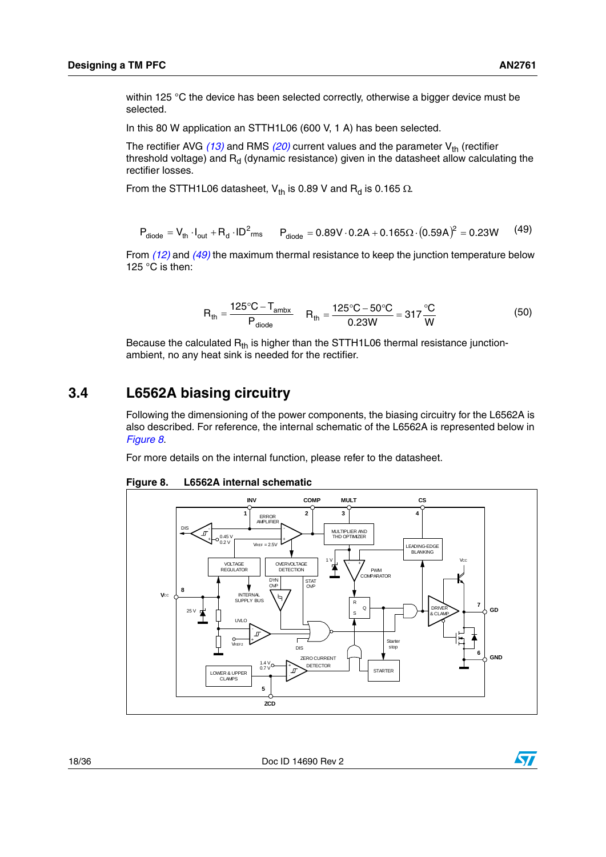within 125 °C the device has been selected correctly, otherwise a bigger device must be selected.

In this 80 W application an STTH1L06 (600 V, 1 A) has been selected.

The rectifier AVG  $(13)$  and RMS  $(20)$  current values and the parameter V<sub>th</sub> (rectifier threshold voltage) and  $R_d$  (dynamic resistance) given in the datasheet allow calculating the rectifier losses.

From the STTH1L06 datasheet, V<sub>th</sub> is 0.89 V and R<sub>d</sub> is 0.165  $\Omega$ .

$$
P_{\text{diode}} = V_{\text{th}} \cdot I_{\text{out}} + R_{\text{d}} \cdot ID^2 \text{rms} \qquad P_{\text{diode}} = 0.89V \cdot 0.2A + 0.165 \Omega \cdot (0.59A)^2 = 0.23W \tag{49}
$$

From *(12)* and *(49)* the maximum thermal resistance to keep the junction temperature below 125 °C is then:

$$
R_{\text{th}} = \frac{125\text{°C} - T_{\text{ambx}}}{P_{\text{diode}}} \quad R_{\text{th}} = \frac{125\text{°C} - 50\text{°C}}{0.23W} = 317\frac{\text{°C}}{W} \tag{50}
$$

Because the calculated  $R_{th}$  is higher than the STTH1L06 thermal resistance junctionambient, no any heat sink is needed for the rectifier.

### <span id="page-17-0"></span>**3.4 L6562A biasing circuitry**

Following the dimensioning of the power components, the biasing circuitry for the L6562A is also described. For reference, the internal schematic of the L6562A is represented below in *[Figure 8](#page-17-1)*.

For more details on the internal function, please refer to the datasheet.



<span id="page-17-1"></span>**Figure 8. L6562A internal schematic**

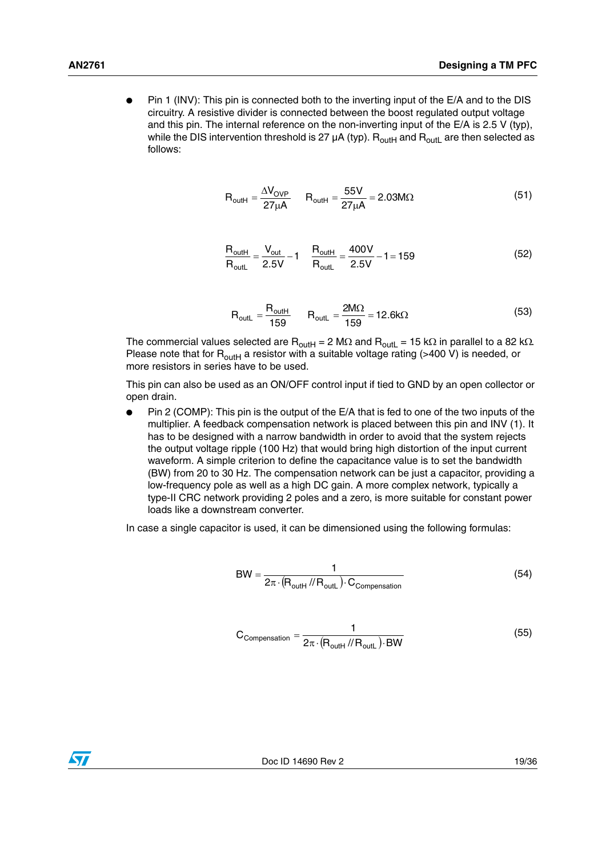Pin 1 (INV): This pin is connected both to the inverting input of the E/A and to the DIS circuitry. A resistive divider is connected between the boost regulated output voltage and this pin. The internal reference on the non-inverting input of the E/A is 2.5 V (typ), while the DIS intervention threshold is 27  $\mu$ A (typ). R<sub>outH</sub> and R<sub>outL</sub> are then selected as follows:

$$
R_{\text{outH}} = \frac{\Delta V_{\text{OVP}}}{27\mu A} \qquad R_{\text{outH}} = \frac{55V}{27\mu A} = 2.03 M\Omega \tag{51}
$$

$$
\frac{R_{\text{outH}}}{R_{\text{outL}}} = \frac{V_{\text{out}}}{2.5V} - 1 \qquad \frac{R_{\text{outH}}}{R_{\text{outL}}} = \frac{400V}{2.5V} - 1 = 159
$$
 (52)

$$
R_{\text{outL}} = \frac{R_{\text{outH}}}{159} \qquad R_{\text{outL}} = \frac{2M\Omega}{159} = 12.6k\Omega
$$
 (53)

The commercial values selected are R<sub>outH</sub> = 2 MΩ and R<sub>outL</sub> = 15 kΩ in parallel to a 82 kΩ. Please note that for  $R_{\text{outH}}$  a resistor with a suitable voltage rating (>400 V) is needed, or more resistors in series have to be used.

This pin can also be used as an ON/OFF control input if tied to GND by an open collector or open drain.

Pin 2 (COMP): This pin is the output of the E/A that is fed to one of the two inputs of the multiplier. A feedback compensation network is placed between this pin and INV (1). It has to be designed with a narrow bandwidth in order to avoid that the system rejects the output voltage ripple (100 Hz) that would bring high distortion of the input current waveform. A simple criterion to define the capacitance value is to set the bandwidth (BW) from 20 to 30 Hz. The compensation network can be just a capacitor, providing a low-frequency pole as well as a high DC gain. A more complex network, typically a type-II CRC network providing 2 poles and a zero, is more suitable for constant power loads like a downstream converter.

In case a single capacitor is used, it can be dimensioned using the following formulas:

$$
BW = \frac{1}{2\pi \cdot (R_{\text{outH}} / / R_{\text{outL}}) \cdot C_{\text{compensation}}}
$$
(54)

$$
C_{\text{Comparison}} = \frac{1}{2\pi \cdot (R_{\text{outH}} / / R_{\text{outL}}) \cdot BW}
$$
(55)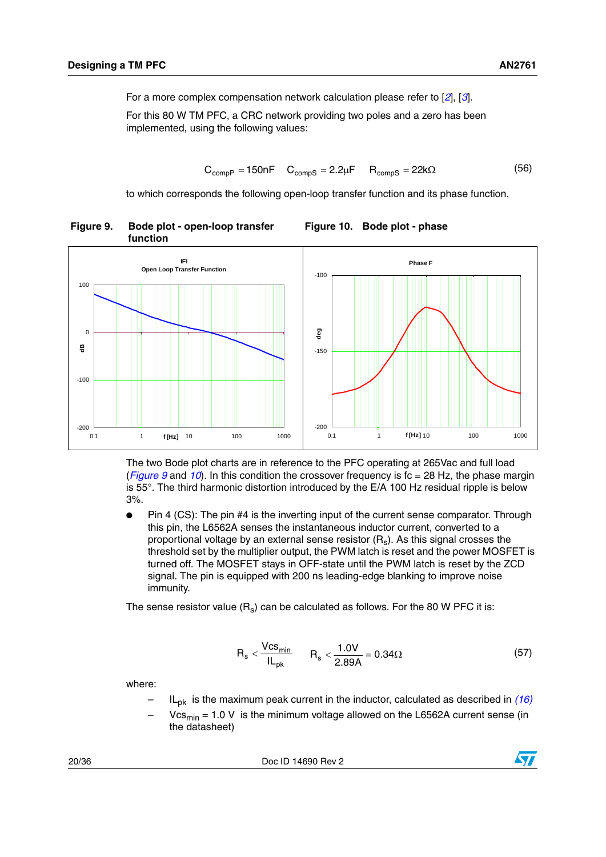<span id="page-19-0"></span>**Figure 9. Bode plot - open-loop transfer** 

For a more complex compensation network calculation please refer to [*2*], [*3*].

For this 80 W TM PFC, a CRC network providing two poles and a zero has been implemented, using the following values:

$$
C_{\text{compP}} = 150nF \t C_{\text{compS}} = 2.2\mu F \t R_{\text{compS}} = 22k\Omega \t (56)
$$

<span id="page-19-1"></span>**Figure 10. Bode plot - phase**

to which corresponds the following open-loop transfer function and its phase function.



The two Bode plot charts are in reference to the PFC operating at 265Vac and full load (*[Figure 9](#page-19-0)* and *[10](#page-19-1)*). In this condition the crossover frequency is fc = 28 Hz, the phase margin is 55°. The third harmonic distortion introduced by the E/A 100 Hz residual ripple is below 3%.

● Pin 4 (CS): The pin #4 is the inverting input of the current sense comparator. Through this pin, the L6562A senses the instantaneous inductor current, converted to a proportional voltage by an external sense resistor  $(R_s)$ . As this signal crosses the threshold set by the multiplier output, the PWM latch is reset and the power MOSFET is turned off. The MOSFET stays in OFF-state until the PWM latch is reset by the ZCD signal. The pin is equipped with 200 ns leading-edge blanking to improve noise immunity.

The sense resistor value  $(R_s)$  can be calculated as follows. For the 80 W PFC it is:

$$
R_s < \frac{Vcs_{\text{min}}}{IL_{\text{pk}}} \qquad R_s < \frac{1.0V}{2.89A} = 0.34\Omega \tag{57}
$$

where:

- ILpk is the maximum peak current in the inductor, calculated as described in *(16)*
- $Vcs<sub>min</sub> = 1.0 V$  is the minimum voltage allowed on the L6562A current sense (in the datasheet)

20/36 Doc ID 14690 Rev 2

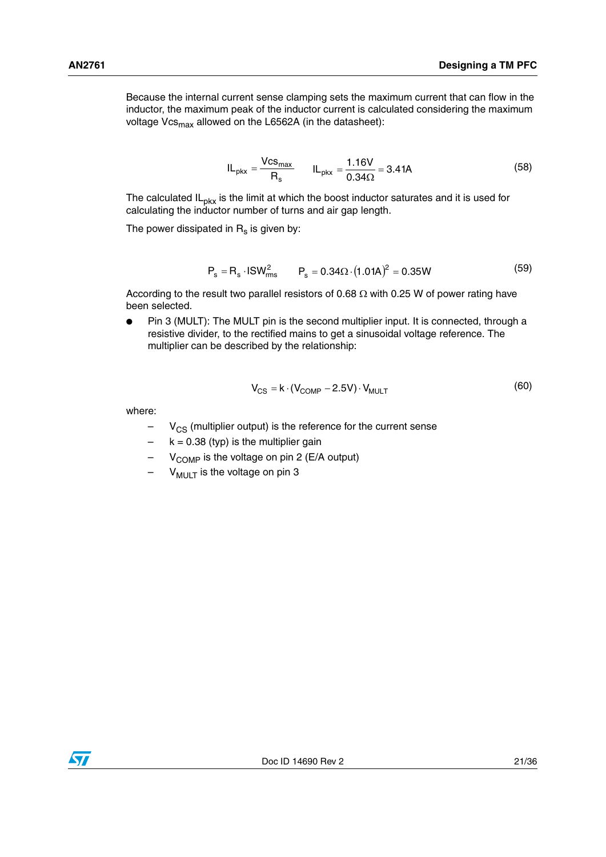Because the internal current sense clamping sets the maximum current that can flow in the inductor, the maximum peak of the inductor current is calculated considering the maximum voltage Vcs<sub>max</sub> allowed on the L6562A (in the datasheet):

$$
IL_{\text{pkx}} = \frac{Vcs_{\text{max}}}{R_s} \qquad IL_{\text{pkx}} = \frac{1.16V}{0.34\Omega} = 3.41A \tag{58}
$$

The calculated  $IL<sub>DKX</sub>$  is the limit at which the boost inductor saturates and it is used for calculating the inductor number of turns and air gap length.

The power dissipated in  $R_s$  is given by:

$$
P_s = R_s \cdot ISW_{rms}^2 \qquad P_s = 0.34 \Omega \cdot (1.01A)^2 = 0.35W \tag{59}
$$

According to the result two parallel resistors of 0.68  $\Omega$  with 0.25 W of power rating have been selected.

Pin 3 (MULT): The MULT pin is the second multiplier input. It is connected, through a resistive divider, to the rectified mains to get a sinusoidal voltage reference. The multiplier can be described by the relationship:

$$
V_{CS} = k \cdot (V_{COMP} - 2.5V) \cdot V_{MULT} \tag{60}
$$

where:

- $V_{CS}$  (multiplier output) is the reference for the current sense
- $k = 0.38$  (typ) is the multiplier gain
- $V_{\text{COMP}}$  is the voltage on pin 2 (E/A output)
- $-$  V<sub>MULT</sub> is the voltage on pin 3

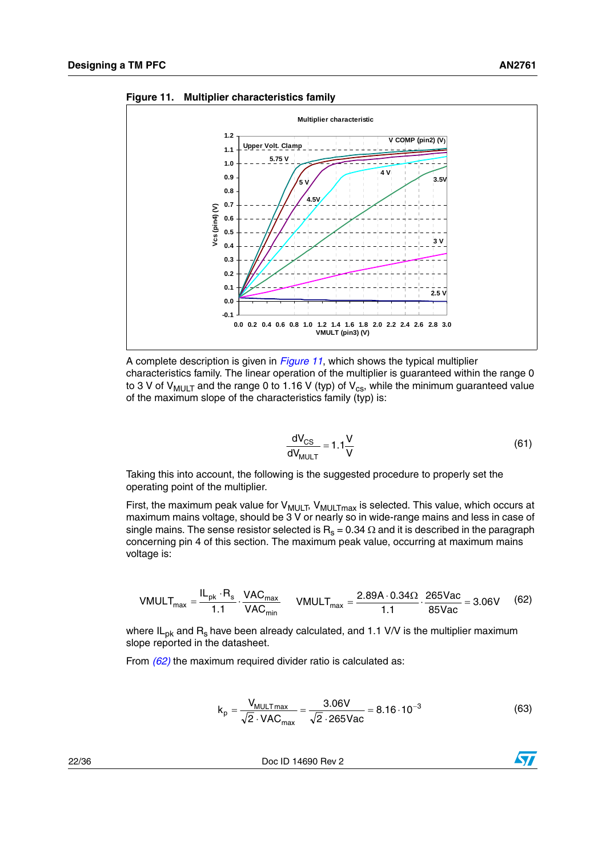

<span id="page-21-0"></span>**Figure 11. Multiplier characteristics family**



$$
\frac{dV_{CS}}{dV_{MULT}} = 1.1 \frac{V}{V}
$$
 (61)

Taking this into account, the following is the suggested procedure to properly set the operating point of the multiplier.

First, the maximum peak value for  $V_{MULT}$ ,  $V_{MULTmax}$  is selected. This value, which occurs at maximum mains voltage, should be 3 V or nearly so in wide-range mains and less in case of single mains. The sense resistor selected is  $R_s = 0.34 \Omega$  and it is described in the paragraph concerning pin 4 of this section. The maximum peak value, occurring at maximum mains voltage is:

$$
VMULT_{max} = \frac{IL_{pk} \cdot R_s}{1.1} \cdot \frac{VAC_{max}}{VAC_{min}} \qquad VMULT_{max} = \frac{2.89A \cdot 0.34\Omega}{1.1} \cdot \frac{265Vac}{85Vac} = 3.06V \qquad (62)
$$

where  $IL_{pk}$  and  $R_s$  have been already calculated, and 1.1 V/V is the multiplier maximum slope reported in the datasheet.

From *(62)* the maximum required divider ratio is calculated as:

$$
k_p = \frac{V_{MULTmax}}{\sqrt{2} \cdot VAC_{max}} = \frac{3.06V}{\sqrt{2} \cdot 265 \text{Vac}} = 8.16 \cdot 10^{-3}
$$
 (63)

22/36 Doc ID 14690 Rev 2

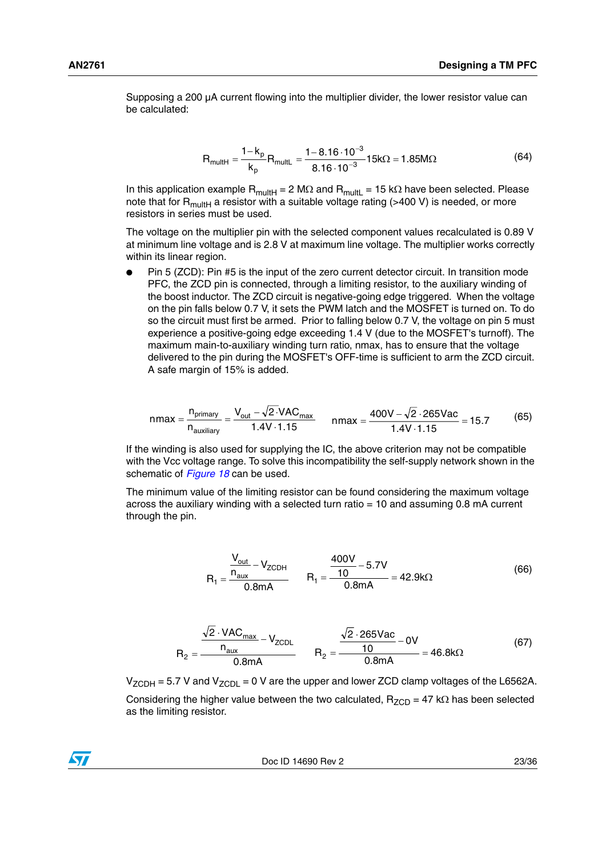Supposing a 200 µA current flowing into the multiplier divider, the lower resistor value can be calculated:

$$
R_{\text{multi}} = \frac{1 - k_{\text{p}}}{k_{\text{p}}} R_{\text{multi}} = \frac{1 - 8.16 \cdot 10^{-3}}{8.16 \cdot 10^{-3}} 15 \text{k}\Omega = 1.85 \text{M}\Omega \tag{64}
$$

In this application example  $R_{multi} = 2 M\Omega$  and  $R_{multi} = 15 k\Omega$  have been selected. Please note that for  $R_{multi}$  a resistor with a suitable voltage rating (>400 V) is needed, or more resistors in series must be used.

The voltage on the multiplier pin with the selected component values recalculated is 0.89 V at minimum line voltage and is 2.8 V at maximum line voltage. The multiplier works correctly within its linear region.

Pin 5 (ZCD): Pin #5 is the input of the zero current detector circuit. In transition mode PFC, the ZCD pin is connected, through a limiting resistor, to the auxiliary winding of the boost inductor. The ZCD circuit is negative-going edge triggered. When the voltage on the pin falls below 0.7 V, it sets the PWM latch and the MOSFET is turned on. To do so the circuit must first be armed. Prior to falling below 0.7 V, the voltage on pin 5 must experience a positive-going edge exceeding 1.4 V (due to the MOSFET's turnoff). The maximum main-to-auxiliary winding turn ratio, nmax, has to ensure that the voltage delivered to the pin during the MOSFET's OFF-time is sufficient to arm the ZCD circuit. A safe margin of 15% is added.

$$
n\max = \frac{n_{\text{primary}}}{n_{\text{auxiliary}}} = \frac{V_{\text{out}} - \sqrt{2 \cdot VAC_{\text{max}}}}{1.4V \cdot 1.15} \qquad n\max = \frac{400V - \sqrt{2} \cdot 265\text{Vac}}{1.4V \cdot 1.15} = 15.7\tag{65}
$$

If the winding is also used for supplying the IC, the above criterion may not be compatible with the Vcc voltage range. To solve this incompatibility the self-supply network shown in the schematic of *[Figure 18](#page-26-2)* can be used.

The minimum value of the limiting resistor can be found considering the maximum voltage across the auxiliary winding with a selected turn ratio = 10 and assuming 0.8 mA current through the pin.

$$
R_1 = \frac{\frac{V_{\text{out}}}{n_{\text{aux}}} - V_{\text{ZCDH}}}{0.8 \text{mA}} \qquad R_1 = \frac{\frac{400V}{10} - 5.7V}{0.8 \text{mA}} = 42.9 \text{k}\Omega \tag{66}
$$

$$
R_2 = \frac{\frac{\sqrt{2} \cdot \text{VAC}_{max}}{n_{\text{aux}}} - V_{\text{ZCDL}}}{0.8 \text{mA}} \qquad R_2 = \frac{\frac{\sqrt{2} \cdot 265 \text{Vac}}{10} - 0 \text{V}}{0.8 \text{mA}} = 46.8 \text{k}\Omega \tag{67}
$$

 $V_{ZCDH}$  = 5.7 V and  $V_{ZCDL}$  = 0 V are the upper and lower ZCD clamp voltages of the L6562A.

Considering the higher value between the two calculated,  $R_{ZCD} = 47$  k $\Omega$  has been selected as the limiting resistor.

Doc ID 14690 Rev 2 23/36

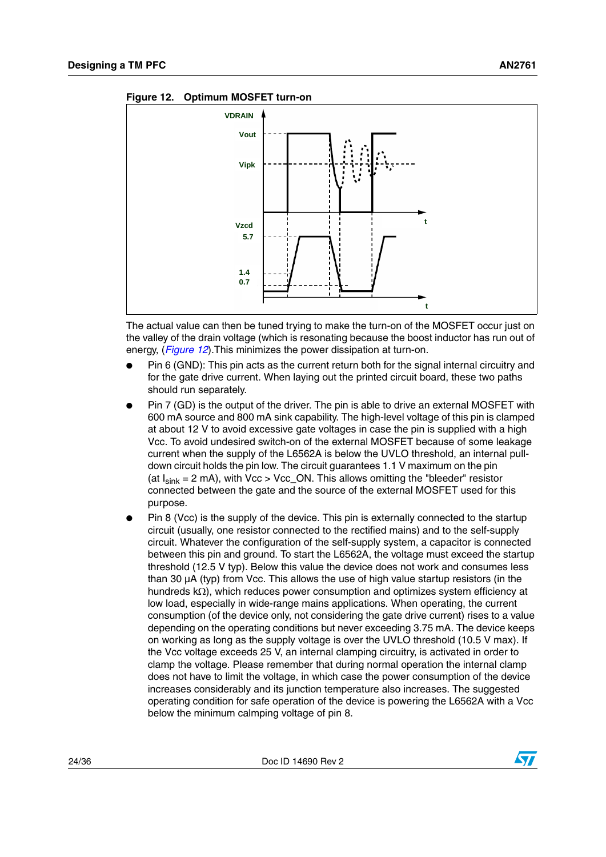

<span id="page-23-0"></span>**Figure 12. Optimum MOSFET turn-on**

The actual value can then be tuned trying to make the turn-on of the MOSFET occur just on the valley of the drain voltage (which is resonating because the boost inductor has run out of energy, (*[Figure 12](#page-23-0)*).This minimizes the power dissipation at turn-on.

- Pin 6 (GND): This pin acts as the current return both for the signal internal circuitry and for the gate drive current. When laying out the printed circuit board, these two paths should run separately.
- Pin 7 (GD) is the output of the driver. The pin is able to drive an external MOSFET with 600 mA source and 800 mA sink capability. The high-level voltage of this pin is clamped at about 12 V to avoid excessive gate voltages in case the pin is supplied with a high Vcc. To avoid undesired switch-on of the external MOSFET because of some leakage current when the supply of the L6562A is below the UVLO threshold, an internal pulldown circuit holds the pin low. The circuit guarantees 1.1 V maximum on the pin (at  $I_{sink}$  = 2 mA), with Vcc > Vcc\_ON. This allows omitting the "bleeder" resistor connected between the gate and the source of the external MOSFET used for this purpose.
- Pin 8 (Vcc) is the supply of the device. This pin is externally connected to the startup circuit (usually, one resistor connected to the rectified mains) and to the self-supply circuit. Whatever the configuration of the self-supply system, a capacitor is connected between this pin and ground. To start the L6562A, the voltage must exceed the startup threshold (12.5 V typ). Below this value the device does not work and consumes less than 30 µA (typ) from Vcc. This allows the use of high value startup resistors (in the hundreds kΩ), which reduces power consumption and optimizes system efficiency at low load, especially in wide-range mains applications. When operating, the current consumption (of the device only, not considering the gate drive current) rises to a value depending on the operating conditions but never exceeding 3.75 mA. The device keeps on working as long as the supply voltage is over the UVLO threshold (10.5 V max). If the Vcc voltage exceeds 25 V, an internal clamping circuitry, is activated in order to clamp the voltage. Please remember that during normal operation the internal clamp does not have to limit the voltage, in which case the power consumption of the device increases considerably and its junction temperature also increases. The suggested operating condition for safe operation of the device is powering the L6562A with a Vcc below the minimum calmping voltage of pin 8.

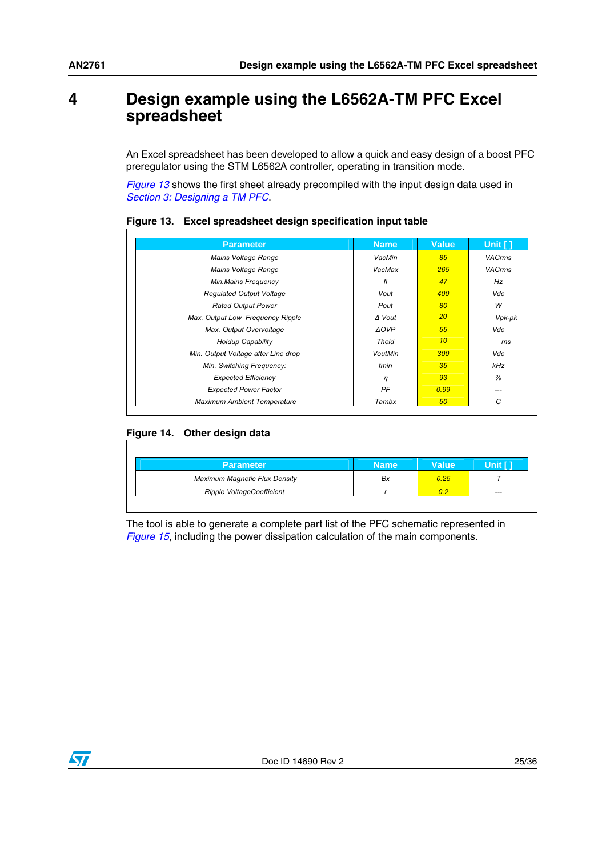### <span id="page-24-0"></span>**4 Design example using the L6562A-TM PFC Excel spreadsheet**

An Excel spreadsheet has been developed to allow a quick and easy design of a boost PFC preregulator using the STM L6562A controller, operating in transition mode.

*[Figure 13](#page-24-1)* shows the first sheet already precompiled with the input design data used in *[Section 3: Designing a TM PFC](#page-6-0)*.

| <b>Parameter</b>                    | <b>Name</b>    | <b>Value</b>    | Unit [1]      |
|-------------------------------------|----------------|-----------------|---------------|
| Mains Voltage Range                 | VacMin         | 85              | <b>VACrms</b> |
| Mains Voltage Range                 | VacMax         | 265             | <b>VACrms</b> |
| Min.Mains Frequency                 | fl             | 47              | Hz            |
| <b>Regulated Output Voltage</b>     | Vout           | 400             | Vdc           |
| <b>Rated Output Power</b>           | Pout           | 80              | W             |
| Max. Output Low Frequency Ripple    | $\Delta$ Vout  | 20              | Vpk-pk        |
| Max. Output Overvoltage             | <b>AOVP</b>    | 55              | Vdc           |
| <b>Holdup Capability</b>            | <b>Thold</b>   | 10 <sup>°</sup> | ms            |
| Min. Output Voltage after Line drop | <b>VoutMin</b> | 300             | Vdc           |
| Min. Switching Frequency:           | fmin           | 35              | kHz           |
| <b>Expected Efficiency</b>          | $\eta$         | 93              | %             |
| <b>Expected Power Factor</b>        | PF             | 0.99            | ---           |
| <b>Maximum Ambient Temperature</b>  | Tambx          | 50              | С             |

<span id="page-24-1"></span>**Figure 13. Excel spreadsheet design specification input table**

### <span id="page-24-2"></span>**Figure 14. Other design data**

| <b>Parameter</b>                     | <b>Name</b> | <b>Value</b> | init i |
|--------------------------------------|-------------|--------------|--------|
| <b>Maximum Magnetic Flux Density</b> | Bx          | 0.25         |        |
| Ripple VoltageCoefficient            |             | 0.2          | ---    |

The tool is able to generate a complete part list of the PFC schematic represented in *[Figure 15](#page-25-0)*, including the power dissipation calculation of the main components.

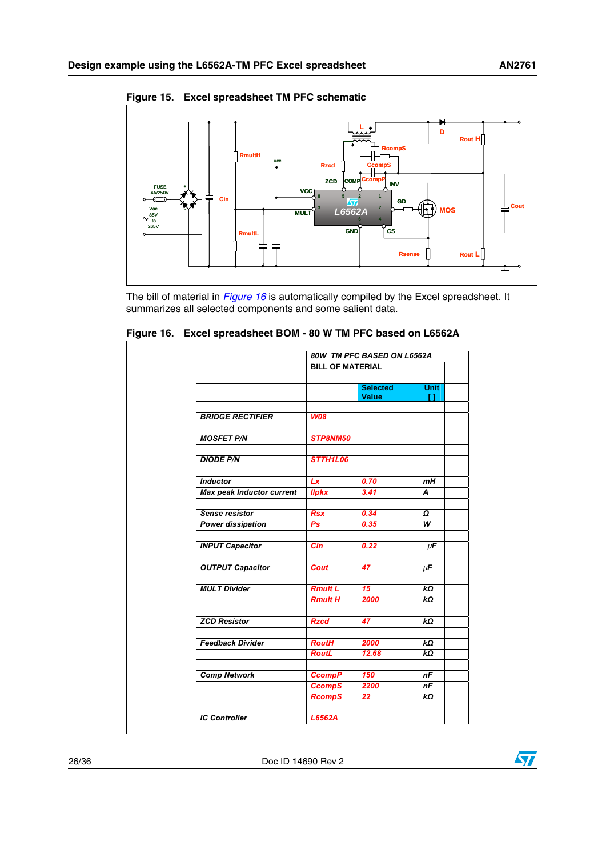$\sqrt{2}$ 



<span id="page-25-0"></span>**Figure 15. Excel spreadsheet TM PFC schematic**

The bill of material in *[Figure 16](#page-25-1)* is automatically compiled by the Excel spreadsheet. It summarizes all selected components and some salient data.

|                                  | 80W TM PFC BASED ON L6562A |                                 |                   |
|----------------------------------|----------------------------|---------------------------------|-------------------|
|                                  | <b>BILL OF MATERIAL</b>    |                                 |                   |
|                                  |                            | <b>Selected</b><br><b>Value</b> | <b>Unit</b><br>H. |
| <b>BRIDGE RECTIFIER</b>          | <b>W08</b>                 |                                 |                   |
| <b>MOSFET P/N</b>                | STP8NM50                   |                                 |                   |
| <b>DIODE P/N</b>                 | STTH1L06                   |                                 |                   |
| <b>Inductor</b>                  | Lx                         | 0.70                            | mH                |
| <b>Max peak Inductor current</b> | <b>Ilpkx</b>               | 3.41                            | A                 |
| <b>Sense resistor</b>            | <b>Rsx</b>                 | 0.34                            | Ω                 |
| <b>Power dissipation</b>         | P <sub>S</sub>             | 0.35                            | W                 |
| <b>INPUT Capacitor</b>           | Cin                        | 0.22                            | $\mu$ F           |
| <b>OUTPUT Capacitor</b>          | <b>Cout</b>                | 47                              | $\mu$ F           |
| <b>MULT Divider</b>              | <b>Rmult L</b>             | $\overline{15}$                 | $k\Omega$         |
|                                  | <b>Rmult H</b>             | 2000                            | $k\Omega$         |
| <b>ZCD Resistor</b>              | <b>Rzcd</b>                | 47                              | $k\Omega$         |
| <b>Feedback Divider</b>          | <b>RoutH</b>               | 2000                            | $k\Omega$         |
|                                  | <b>RoutL</b>               | 12.68                           | $k\Omega$         |
| <b>Comp Network</b>              | <b>CcompP</b>              | 150                             | nF                |
|                                  | <b>CcompS</b>              | 2200<br>22                      | nF<br>$k\Omega$   |
|                                  | <b>RcompS</b>              |                                 |                   |
| <b>IC Controller</b>             | L6562A                     |                                 |                   |

<span id="page-25-1"></span>**Figure 16. Excel spreadsheet BOM - 80 W TM PFC based on L6562A**

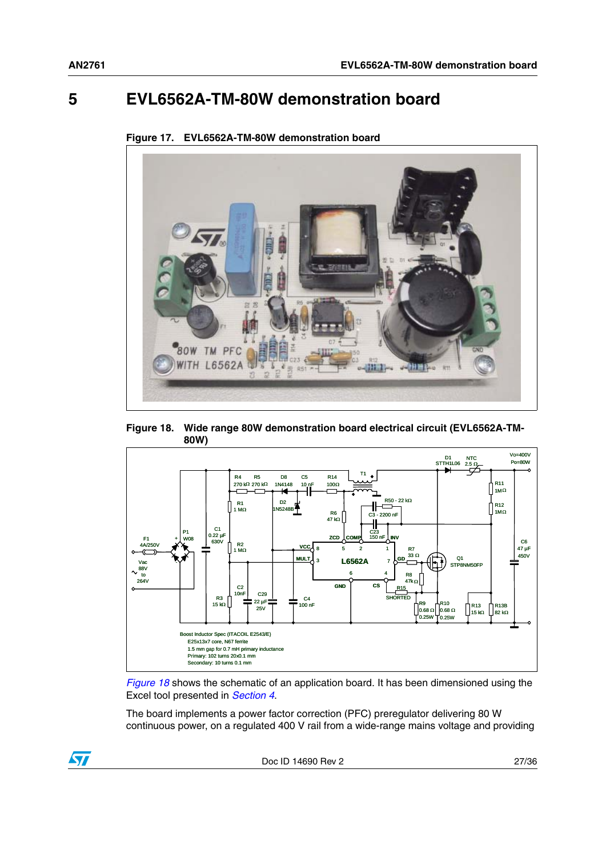## <span id="page-26-0"></span>**5 EVL6562A-TM-80W demonstration board**

<span id="page-26-1"></span>

**Figure 17. EVL6562A-TM-80W demonstration board**

<span id="page-26-2"></span>



*[Figure 18](#page-26-2)* shows the schematic of an application board. It has been dimensioned using the Excel tool presented in *[Section 4](#page-24-0)*.

The board implements a power factor correction (PFC) preregulator delivering 80 W continuous power, on a regulated 400 V rail from a wide-range mains voltage and providing

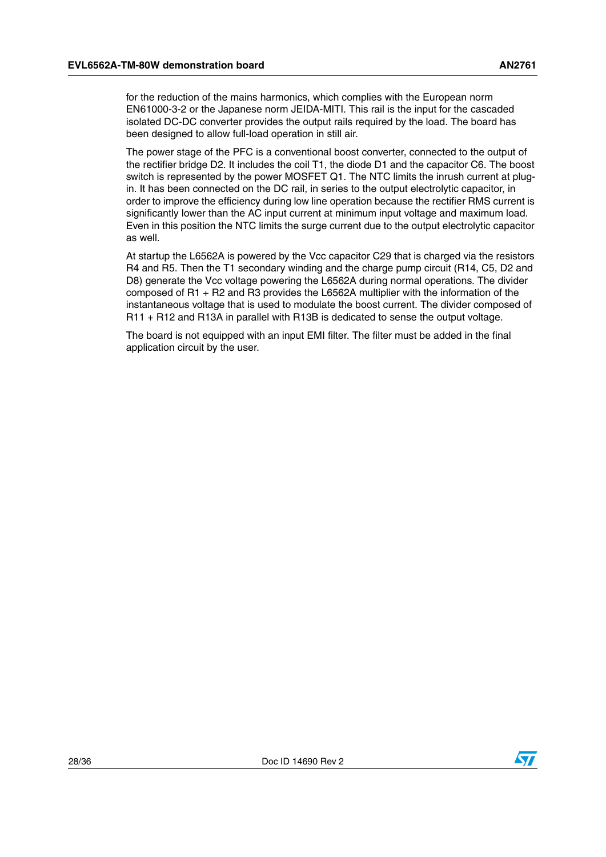for the reduction of the mains harmonics, which complies with the European norm EN61000-3-2 or the Japanese norm JEIDA-MITI. This rail is the input for the cascaded isolated DC-DC converter provides the output rails required by the load. The board has been designed to allow full-load operation in still air.

The power stage of the PFC is a conventional boost converter, connected to the output of the rectifier bridge D2. It includes the coil T1, the diode D1 and the capacitor C6. The boost switch is represented by the power MOSFET Q1. The NTC limits the inrush current at plugin. It has been connected on the DC rail, in series to the output electrolytic capacitor, in order to improve the efficiency during low line operation because the rectifier RMS current is significantly lower than the AC input current at minimum input voltage and maximum load. Even in this position the NTC limits the surge current due to the output electrolytic capacitor as well.

At startup the L6562A is powered by the Vcc capacitor C29 that is charged via the resistors R4 and R5. Then the T1 secondary winding and the charge pump circuit (R14, C5, D2 and D8) generate the Vcc voltage powering the L6562A during normal operations. The divider composed of R1 + R2 and R3 provides the L6562A multiplier with the information of the instantaneous voltage that is used to modulate the boost current. The divider composed of R11 + R12 and R13A in parallel with R13B is dedicated to sense the output voltage.

The board is not equipped with an input EMI filter. The filter must be added in the final application circuit by the user.

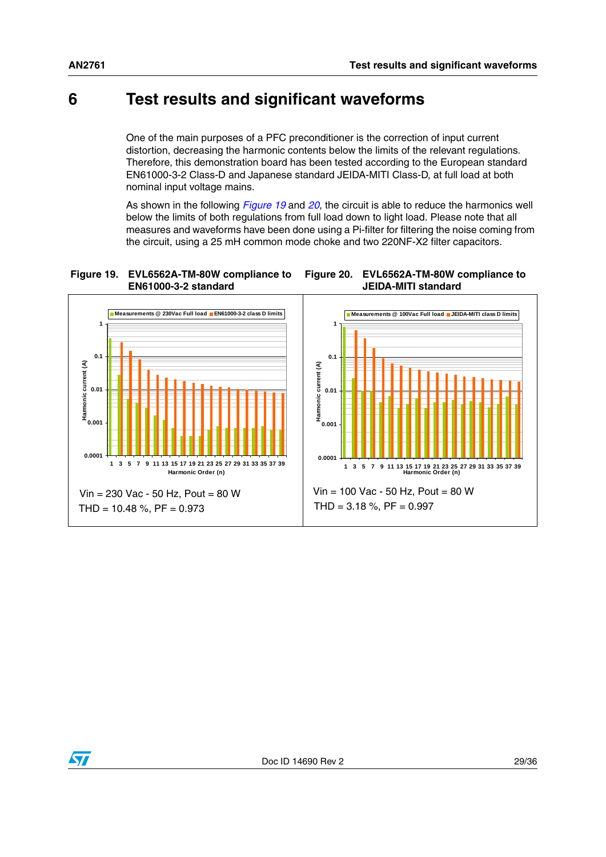<span id="page-28-2"></span>**JEIDA-MITI standard**

## <span id="page-28-0"></span>**6 Test results and significant waveforms**

One of the main purposes of a PFC preconditioner is the correction of input current distortion, decreasing the harmonic contents below the limits of the relevant regulations. Therefore, this demonstration board has been tested according to the European standard EN61000-3-2 Class-D and Japanese standard JEIDA-MITI Class-D, at full load at both nominal input voltage mains.

As shown in the following *[Figure 19](#page-28-1)* and *[20](#page-28-2)*, the circuit is able to reduce the harmonics well below the limits of both regulations from full load down to light load. Please note that all measures and waveforms have been done using a Pi-filter for filtering the noise coming from the circuit, using a 25 mH common mode choke and two 220NF-X2 filter capacitors.

<span id="page-28-1"></span>



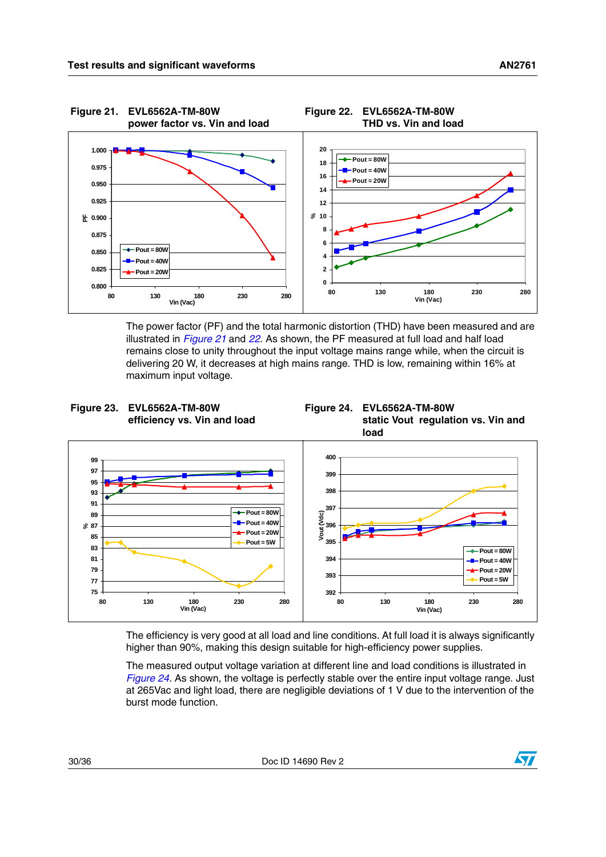<span id="page-29-1"></span><span id="page-29-0"></span>

The power factor (PF) and the total harmonic distortion (THD) have been measured and are illustrated in *[Figure 21](#page-29-0)* and *[22](#page-29-1)*. As shown, the PF measured at full load and half load remains close to unity throughout the input voltage mains range while, when the circuit is delivering 20 W, it decreases at high mains range. THD is low, remaining within 16% at maximum input voltage.

<span id="page-29-2"></span>

<span id="page-29-3"></span>



The efficiency is very good at all load and line conditions. At full load it is always significantly higher than 90%, making this design suitable for high-efficiency power supplies.

The measured output voltage variation at different line and load conditions is illustrated in *[Figure 24](#page-29-3)*. As shown, the voltage is perfectly stable over the entire input voltage range. Just at 265Vac and light load, there are negligible deviations of 1 V due to the intervention of the burst mode function.

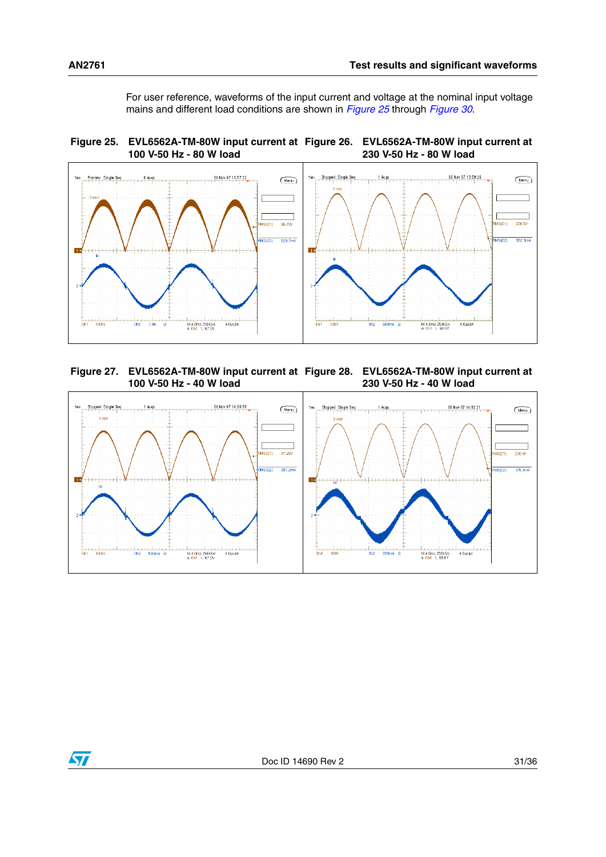<span id="page-30-1"></span>For user reference, waveforms of the input current and voltage at the nominal input voltage mains and different load conditions are shown in *[Figure 25](#page-30-0)* through *[Figure 30](#page-31-1)*.

<span id="page-30-0"></span>



<span id="page-30-3"></span><span id="page-30-2"></span>**Figure 27. EVL6562A-TM-80W input current at Figure 28. EVL6562A-TM-80W input current at 100 V-50 Hz - 40 W load 230 V-50 Hz - 40 W load**



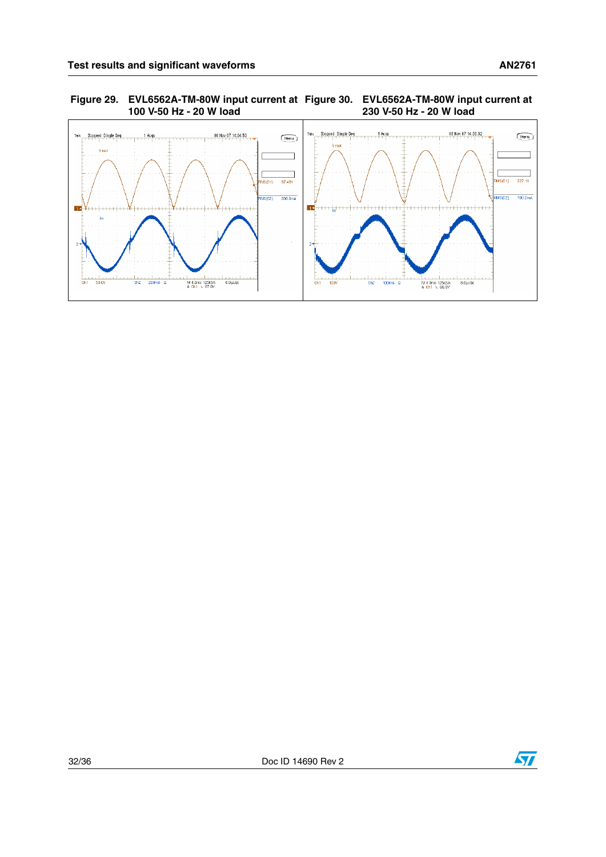<span id="page-31-1"></span><span id="page-31-0"></span>**Figure 29. EVL6562A-TM-80W input current at 100 V-50 Hz - 20 W load Figure 30. EVL6562A-TM-80W input current at 230 V-50 Hz - 20 W load**



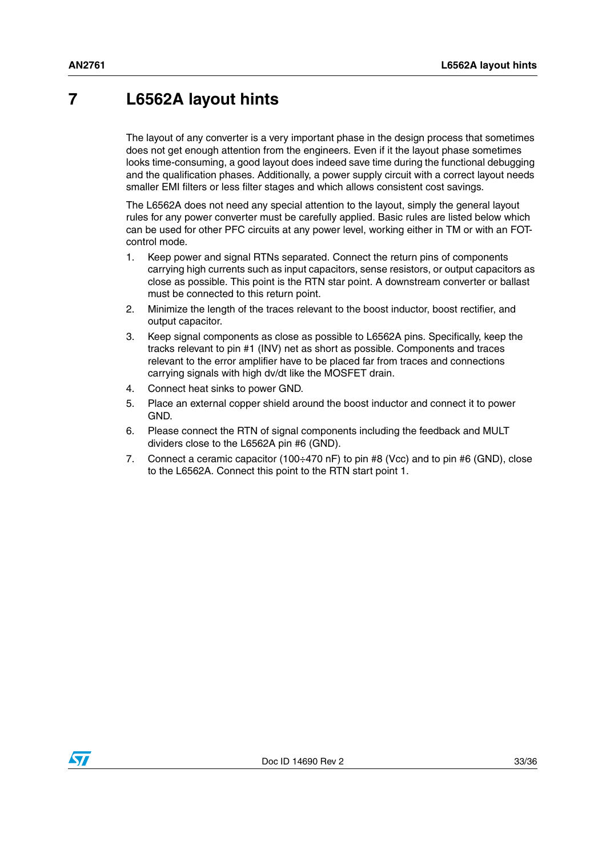## <span id="page-32-0"></span>**7 L6562A layout hints**

The layout of any converter is a very important phase in the design process that sometimes does not get enough attention from the engineers. Even if it the layout phase sometimes looks time-consuming, a good layout does indeed save time during the functional debugging and the qualification phases. Additionally, a power supply circuit with a correct layout needs smaller EMI filters or less filter stages and which allows consistent cost savings.

The L6562A does not need any special attention to the layout, simply the general layout rules for any power converter must be carefully applied. Basic rules are listed below which can be used for other PFC circuits at any power level, working either in TM or with an FOTcontrol mode.

- 1. Keep power and signal RTNs separated. Connect the return pins of components carrying high currents such as input capacitors, sense resistors, or output capacitors as close as possible. This point is the RTN star point. A downstream converter or ballast must be connected to this return point.
- 2. Minimize the length of the traces relevant to the boost inductor, boost rectifier, and output capacitor.
- 3. Keep signal components as close as possible to L6562A pins. Specifically, keep the tracks relevant to pin #1 (INV) net as short as possible. Components and traces relevant to the error amplifier have to be placed far from traces and connections carrying signals with high dv/dt like the MOSFET drain.
- 4. Connect heat sinks to power GND.
- 5. Place an external copper shield around the boost inductor and connect it to power GND.
- 6. Please connect the RTN of signal components including the feedback and MULT dividers close to the L6562A pin #6 (GND).
- 7. Connect a ceramic capacitor (100÷470 nF) to pin #8 (Vcc) and to pin #6 (GND), close to the L6562A. Connect this point to the RTN start point 1.

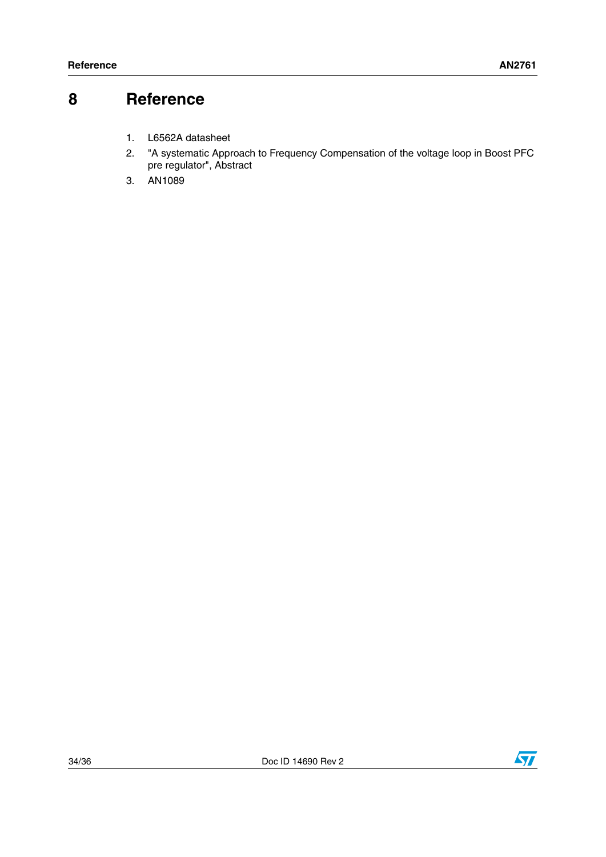### <span id="page-33-0"></span>**8 Reference**

- 1. L6562A datasheet
- 2. "A systematic Approach to Frequency Compensation of the voltage loop in Boost PFC pre regulator", Abstract
- 3. AN1089

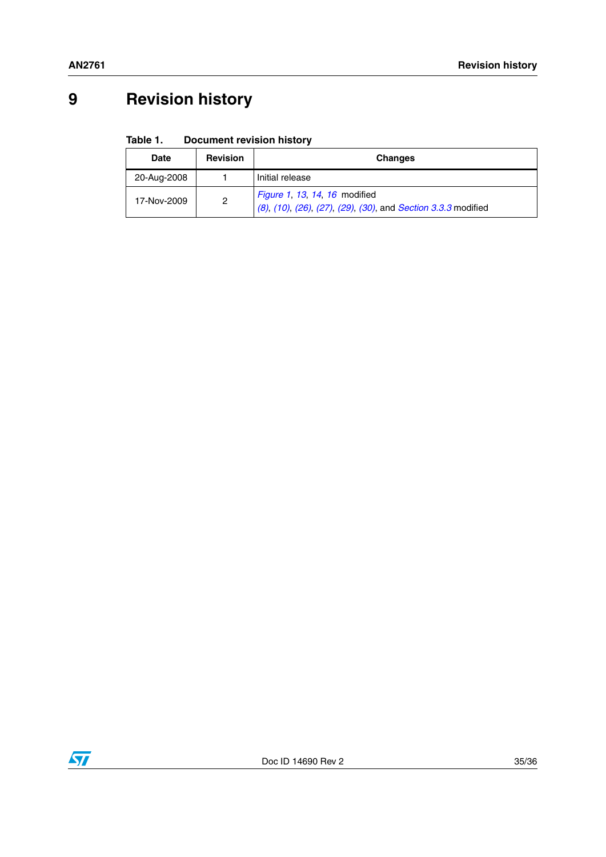## <span id="page-34-0"></span>**9 Revision history**

#### Table 1. **Document revision history**

| <b>Date</b> | <b>Revision</b> | <b>Changes</b>                                                                                 |
|-------------|-----------------|------------------------------------------------------------------------------------------------|
| 20-Aug-2008 |                 | Initial release                                                                                |
| 17-Nov-2009 | 2               | Figure 1, 13, 14, 16 modified<br>(8), (10), (26), (27), (29), (30), and Section 3.3.3 modified |